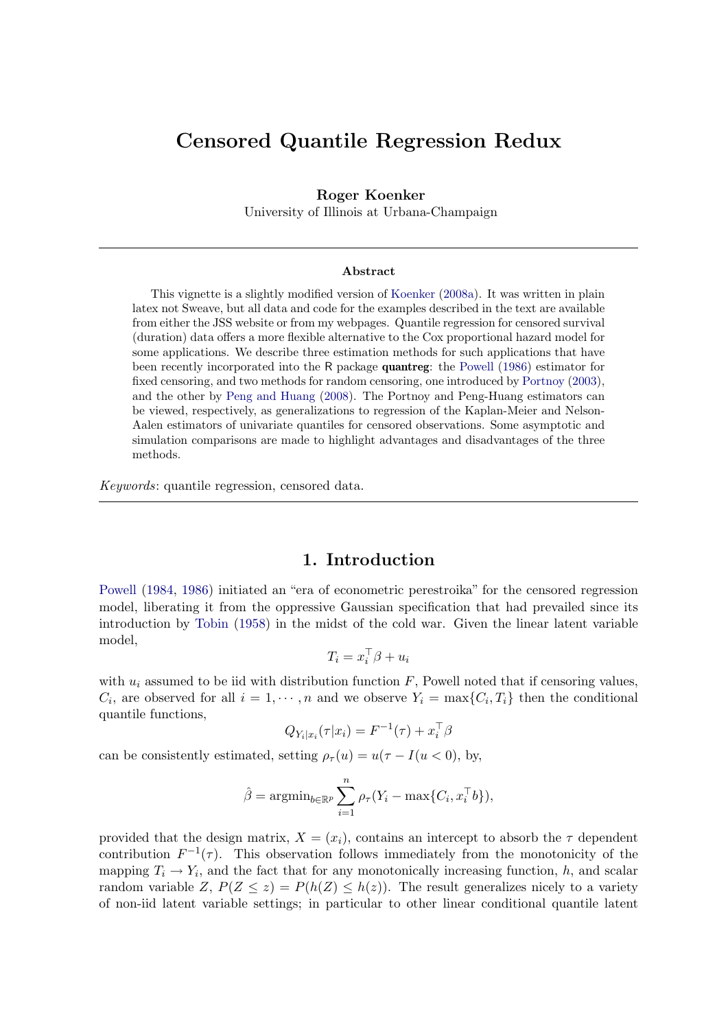# Censored Quantile Regression Redux

#### Roger Koenker

University of Illinois at Urbana-Champaign

#### Abstract

This vignette is a slightly modified version of [Koenker](#page-24-0) [\(2008a\)](#page-24-0). It was written in plain latex not Sweave, but all data and code for the examples described in the text are available from either the JSS website or from my webpages. Quantile regression for censored survival (duration) data offers a more flexible alternative to the Cox proportional hazard model for some applications. We describe three estimation methods for such applications that have been recently incorporated into the R package quantreg: the [Powell](#page-25-0) [\(1986\)](#page-25-0) estimator for fixed censoring, and two methods for random censoring, one introduced by [Portnoy](#page-25-1) [\(2003\)](#page-25-1), and the other by [Peng and Huang](#page-25-2) [\(2008\)](#page-25-2). The Portnoy and Peng-Huang estimators can be viewed, respectively, as generalizations to regression of the Kaplan-Meier and Nelson-Aalen estimators of univariate quantiles for censored observations. Some asymptotic and simulation comparisons are made to highlight advantages and disadvantages of the three methods.

Keywords: quantile regression, censored data.

### 1. Introduction

[Powell](#page-25-3) [\(1984,](#page-25-3) [1986\)](#page-25-0) initiated an "era of econometric perestroika" for the censored regression model, liberating it from the oppressive Gaussian specification that had prevailed since its introduction by [Tobin](#page-25-4) [\(1958\)](#page-25-4) in the midst of the cold war. Given the linear latent variable model,

$$
T_i = x_i^\top \beta + u_i
$$

with  $u_i$  assumed to be iid with distribution function  $F$ , Powell noted that if censoring values,  $C_i$ , are observed for all  $i = 1, \dots, n$  and we observe  $Y_i = \max\{C_i, T_i\}$  then the conditional quantile functions,

$$
Q_{Y_i|x_i}(\tau|x_i) = F^{-1}(\tau) + x_i^{\top} \beta
$$

can be consistently estimated, setting  $\rho_{\tau}(u) = u(\tau - I(u < 0)),$  by,

$$
\hat{\beta} = \operatorname{argmin}_{b \in \mathbb{R}^p} \sum_{i=1}^n \rho_{\tau}(Y_i - \max\{C_i, x_i^{\top}b\}),
$$

provided that the design matrix,  $X = (x_i)$ , contains an intercept to absorb the  $\tau$  dependent contribution  $F^{-1}(\tau)$ . This observation follows immediately from the monotonicity of the mapping  $T_i \to Y_i$ , and the fact that for any monotonically increasing function, h, and scalar random variable Z,  $P(Z \leq z) = P(h(Z) \leq h(z))$ . The result generalizes nicely to a variety of non-iid latent variable settings; in particular to other linear conditional quantile latent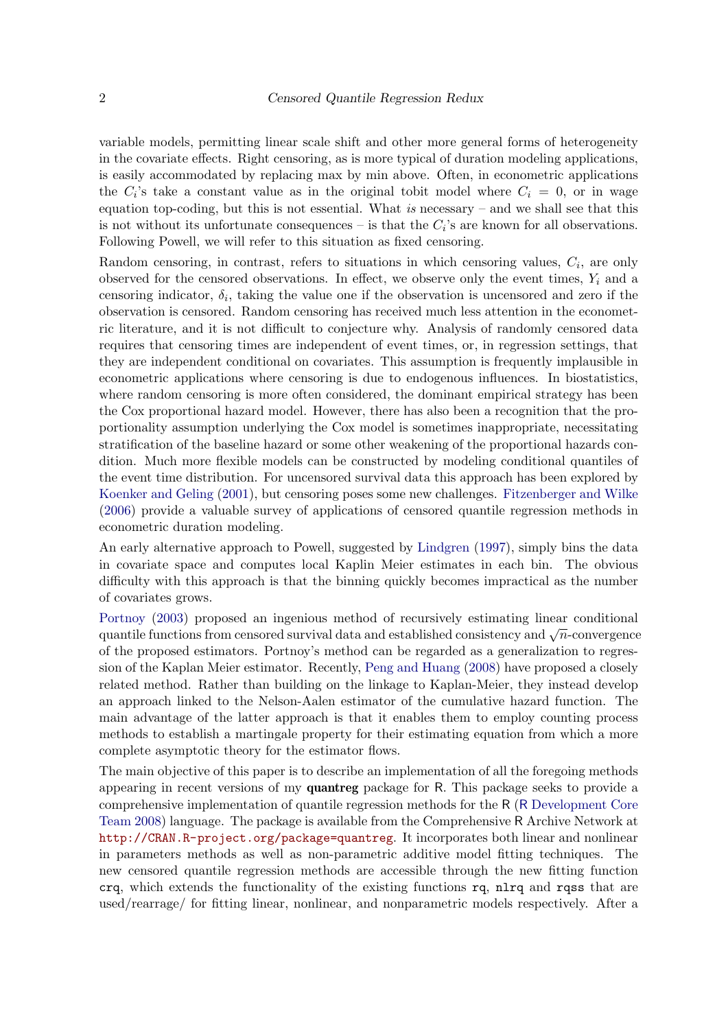variable models, permitting linear scale shift and other more general forms of heterogeneity in the covariate effects. Right censoring, as is more typical of duration modeling applications, is easily accommodated by replacing max by min above. Often, in econometric applications the  $C_i$ 's take a constant value as in the original tobit model where  $C_i = 0$ , or in wage equation top-coding, but this is not essential. What is necessary – and we shall see that this is not without its unfortunate consequences – is that the  $C_i$ 's are known for all observations. Following Powell, we will refer to this situation as fixed censoring.

Random censoring, in contrast, refers to situations in which censoring values,  $C_i$ , are only observed for the censored observations. In effect, we observe only the event times,  $Y_i$  and a censoring indicator,  $\delta_i$ , taking the value one if the observation is uncensored and zero if the observation is censored. Random censoring has received much less attention in the econometric literature, and it is not difficult to conjecture why. Analysis of randomly censored data requires that censoring times are independent of event times, or, in regression settings, that they are independent conditional on covariates. This assumption is frequently implausible in econometric applications where censoring is due to endogenous influences. In biostatistics, where random censoring is more often considered, the dominant empirical strategy has been the Cox proportional hazard model. However, there has also been a recognition that the proportionality assumption underlying the Cox model is sometimes inappropriate, necessitating stratification of the baseline hazard or some other weakening of the proportional hazards condition. Much more flexible models can be constructed by modeling conditional quantiles of the event time distribution. For uncensored survival data this approach has been explored by [Koenker and Geling](#page-24-1) [\(2001\)](#page-24-1), but censoring poses some new challenges. [Fitzenberger and Wilke](#page-24-2) [\(2006\)](#page-24-2) provide a valuable survey of applications of censored quantile regression methods in econometric duration modeling.

An early alternative approach to Powell, suggested by [Lindgren](#page-24-3) [\(1997\)](#page-24-3), simply bins the data in covariate space and computes local Kaplin Meier estimates in each bin. The obvious difficulty with this approach is that the binning quickly becomes impractical as the number of covariates grows.

[Portnoy](#page-25-1) [\(2003\)](#page-25-1) proposed an ingenious method of recursively estimating linear conditional quantile functions from censored survival data and established consistency and  $\sqrt{n}$ -convergence of the proposed estimators. Portnoy's method can be regarded as a generalization to regression of the Kaplan Meier estimator. Recently, [Peng and Huang](#page-25-2) [\(2008\)](#page-25-2) have proposed a closely related method. Rather than building on the linkage to Kaplan-Meier, they instead develop an approach linked to the Nelson-Aalen estimator of the cumulative hazard function. The main advantage of the latter approach is that it enables them to employ counting process methods to establish a martingale property for their estimating equation from which a more complete asymptotic theory for the estimator flows.

The main objective of this paper is to describe an implementation of all the foregoing methods appearing in recent versions of my quantreg package for R. This package seeks to provide a comprehensive implementation of quantile regression methods for the R (R [Development Core](#page-25-5) [Team](#page-25-5) [2008\)](#page-25-5) language. The package is available from the Comprehensive R Archive Network at <http://CRAN.R-project.org/package=quantreg>. It incorporates both linear and nonlinear in parameters methods as well as non-parametric additive model fitting techniques. The new censored quantile regression methods are accessible through the new fitting function crq, which extends the functionality of the existing functions rq, nlrq and rqss that are used/rearrage/ for fitting linear, nonlinear, and nonparametric models respectively. After a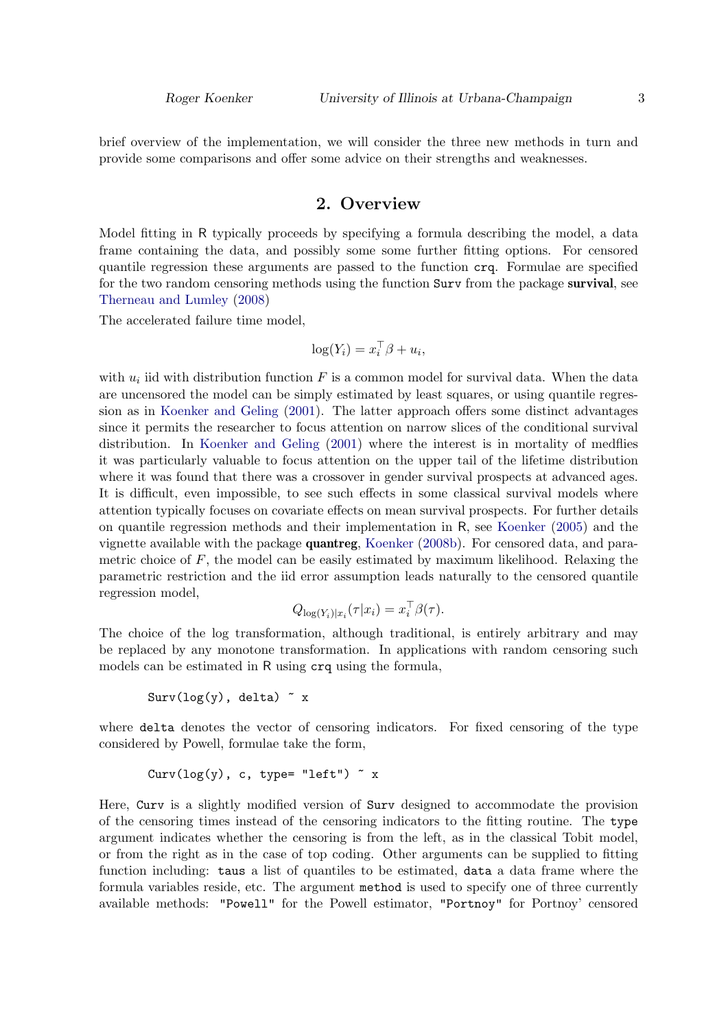brief overview of the implementation, we will consider the three new methods in turn and provide some comparisons and offer some advice on their strengths and weaknesses.

## 2. Overview

Model fitting in R typically proceeds by specifying a formula describing the model, a data frame containing the data, and possibly some some further fitting options. For censored quantile regression these arguments are passed to the function crq. Formulae are specified for the two random censoring methods using the function Surv from the package survival, see [Therneau and Lumley](#page-25-6) [\(2008\)](#page-25-6)

The accelerated failure time model,

$$
\log(Y_i) = x_i^\top \beta + u_i,
$$

with  $u_i$  iid with distribution function F is a common model for survival data. When the data are uncensored the model can be simply estimated by least squares, or using quantile regression as in [Koenker and Geling](#page-24-1) [\(2001\)](#page-24-1). The latter approach offers some distinct advantages since it permits the researcher to focus attention on narrow slices of the conditional survival distribution. In [Koenker and Geling](#page-24-1) [\(2001\)](#page-24-1) where the interest is in mortality of medflies it was particularly valuable to focus attention on the upper tail of the lifetime distribution where it was found that there was a crossover in gender survival prospects at advanced ages. It is difficult, even impossible, to see such effects in some classical survival models where attention typically focuses on covariate effects on mean survival prospects. For further details on quantile regression methods and their implementation in R, see [Koenker](#page-24-4) [\(2005\)](#page-24-4) and the vignette available with the package quantreg, [Koenker](#page-24-5) [\(2008b\)](#page-24-5). For censored data, and parametric choice of  $F$ , the model can be easily estimated by maximum likelihood. Relaxing the parametric restriction and the iid error assumption leads naturally to the censored quantile regression model,

$$
Q_{\log(Y_i)|x_i}(\tau|x_i) = x_i^{\top} \beta(\tau).
$$

The choice of the log transformation, although traditional, is entirely arbitrary and may be replaced by any monotone transformation. In applications with random censoring such models can be estimated in R using crq using the formula,

 $Surv(log(y), delta)$   $x$ 

where delta denotes the vector of censoring indicators. For fixed censoring of the type considered by Powell, formulae take the form,

$$
Curv(log(y), c, type='left") " x
$$

Here, Curv is a slightly modified version of Surv designed to accommodate the provision of the censoring times instead of the censoring indicators to the fitting routine. The type argument indicates whether the censoring is from the left, as in the classical Tobit model, or from the right as in the case of top coding. Other arguments can be supplied to fitting function including: taus a list of quantiles to be estimated, data a data frame where the formula variables reside, etc. The argument method is used to specify one of three currently available methods: "Powell" for the Powell estimator, "Portnoy" for Portnoy' censored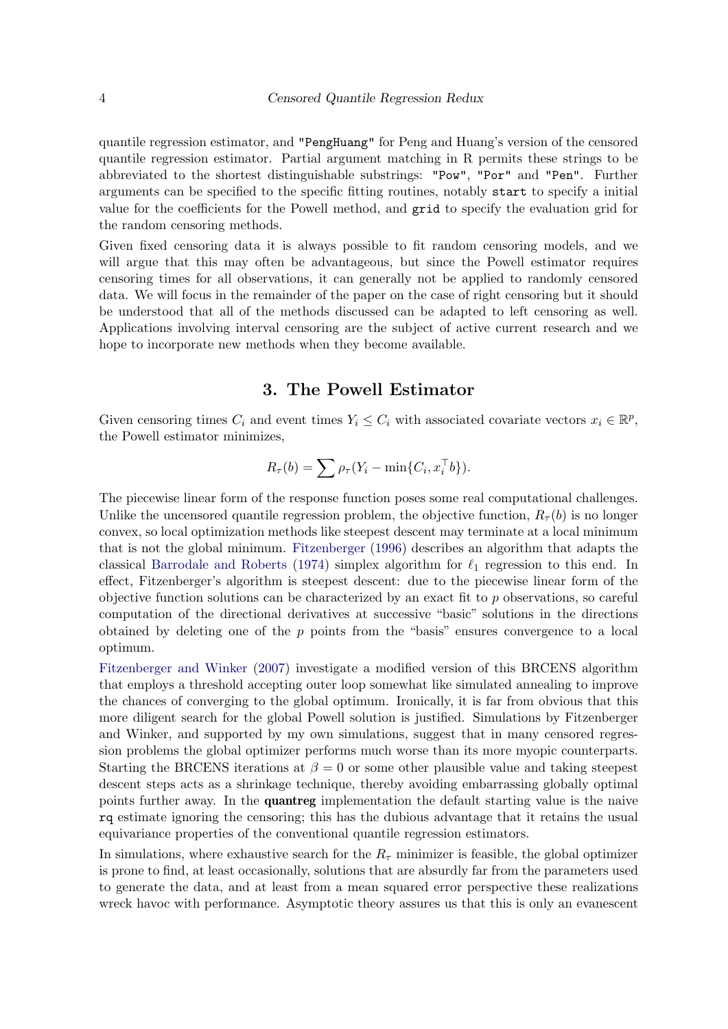quantile regression estimator, and "PengHuang" for Peng and Huang's version of the censored quantile regression estimator. Partial argument matching in R permits these strings to be abbreviated to the shortest distinguishable substrings: "Pow", "Por" and "Pen". Further arguments can be specified to the specific fitting routines, notably start to specify a initial value for the coefficients for the Powell method, and grid to specify the evaluation grid for the random censoring methods.

Given fixed censoring data it is always possible to fit random censoring models, and we will argue that this may often be advantageous, but since the Powell estimator requires censoring times for all observations, it can generally not be applied to randomly censored data. We will focus in the remainder of the paper on the case of right censoring but it should be understood that all of the methods discussed can be adapted to left censoring as well. Applications involving interval censoring are the subject of active current research and we hope to incorporate new methods when they become available.

# 3. The Powell Estimator

Given censoring times  $C_i$  and event times  $Y_i \leq C_i$  with associated covariate vectors  $x_i \in \mathbb{R}^p$ , the Powell estimator minimizes,

$$
R_{\tau}(b) = \sum \rho_{\tau}(Y_i - \min\{C_i, x_i^{\top}b\}).
$$

The piecewise linear form of the response function poses some real computational challenges. Unlike the uncensored quantile regression problem, the objective function,  $R_{\tau}(b)$  is no longer convex, so local optimization methods like steepest descent may terminate at a local minimum that is not the global minimum. [Fitzenberger](#page-24-6) [\(1996\)](#page-24-6) describes an algorithm that adapts the classical [Barrodale and Roberts](#page-24-7) [\(1974\)](#page-24-7) simplex algorithm for  $\ell_1$  regression to this end. In effect, Fitzenberger's algorithm is steepest descent: due to the piecewise linear form of the objective function solutions can be characterized by an exact fit to p observations, so careful computation of the directional derivatives at successive "basic" solutions in the directions obtained by deleting one of the  $p$  points from the "basis" ensures convergence to a local optimum.

[Fitzenberger and Winker](#page-24-8) [\(2007\)](#page-24-8) investigate a modified version of this BRCENS algorithm that employs a threshold accepting outer loop somewhat like simulated annealing to improve the chances of converging to the global optimum. Ironically, it is far from obvious that this more diligent search for the global Powell solution is justified. Simulations by Fitzenberger and Winker, and supported by my own simulations, suggest that in many censored regression problems the global optimizer performs much worse than its more myopic counterparts. Starting the BRCENS iterations at  $\beta = 0$  or some other plausible value and taking steepest descent steps acts as a shrinkage technique, thereby avoiding embarrassing globally optimal points further away. In the quantreg implementation the default starting value is the naive rq estimate ignoring the censoring; this has the dubious advantage that it retains the usual equivariance properties of the conventional quantile regression estimators.

In simulations, where exhaustive search for the  $R<sub>\tau</sub>$  minimizer is feasible, the global optimizer is prone to find, at least occasionally, solutions that are absurdly far from the parameters used to generate the data, and at least from a mean squared error perspective these realizations wreck havoc with performance. Asymptotic theory assures us that this is only an evanescent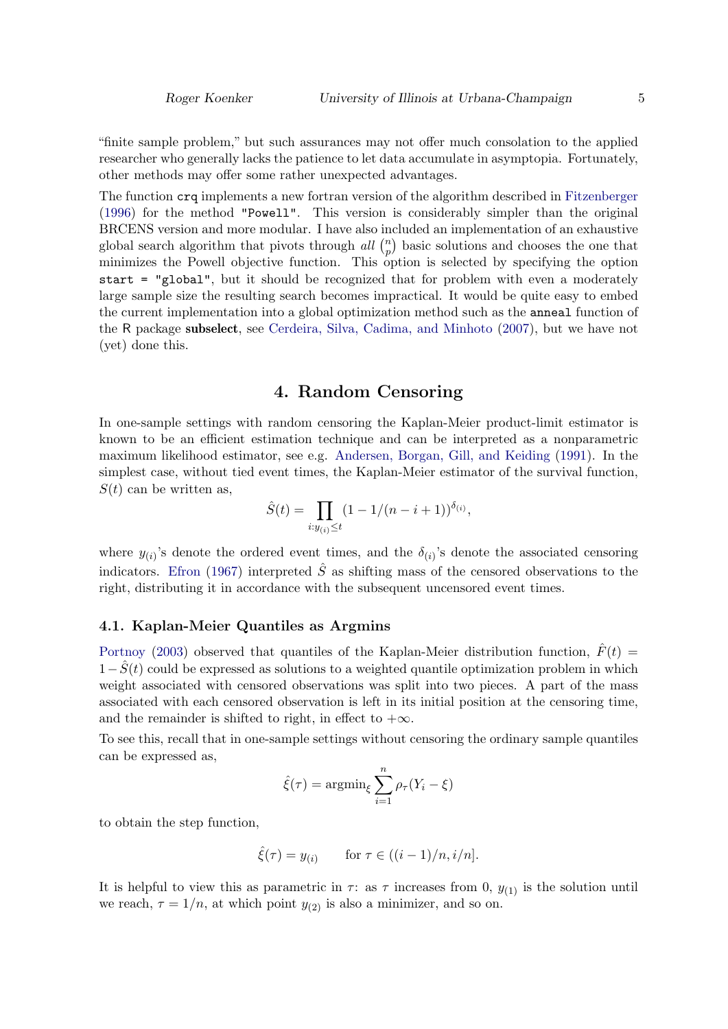"finite sample problem," but such assurances may not offer much consolation to the applied researcher who generally lacks the patience to let data accumulate in asymptopia. Fortunately, other methods may offer some rather unexpected advantages.

The function crq implements a new fortran version of the algorithm described in [Fitzenberger](#page-24-6) [\(1996\)](#page-24-6) for the method "Powell". This version is considerably simpler than the original BRCENS version and more modular. I have also included an implementation of an exhaustive global search algorithm that pivots through all  $\binom{n}{n}$  $_p^n$ ) basic solutions and chooses the one that minimizes the Powell objective function. This option is selected by specifying the option start = "global", but it should be recognized that for problem with even a moderately large sample size the resulting search becomes impractical. It would be quite easy to embed the current implementation into a global optimization method such as the anneal function of the R package subselect, see [Cerdeira, Silva, Cadima, and Minhoto](#page-24-9) [\(2007\)](#page-24-9), but we have not (yet) done this.

# 4. Random Censoring

In one-sample settings with random censoring the Kaplan-Meier product-limit estimator is known to be an efficient estimation technique and can be interpreted as a nonparametric maximum likelihood estimator, see e.g. [Andersen, Borgan, Gill, and Keiding](#page-24-10) [\(1991\)](#page-24-10). In the simplest case, without tied event times, the Kaplan-Meier estimator of the survival function,  $S(t)$  can be written as,

$$
\hat{S}(t) = \prod_{i:y_{(i)} \leq t} (1 - 1/(n - i + 1))^{\delta_{(i)}},
$$

where  $y_{(i)}$ 's denote the ordered event times, and the  $\delta_{(i)}$ 's denote the associated censoring indicators. [Efron](#page-24-11) [\(1967\)](#page-24-11) interpreted  $\hat{S}$  as shifting mass of the censored observations to the right, distributing it in accordance with the subsequent uncensored event times.

#### 4.1. Kaplan-Meier Quantiles as Argmins

[Portnoy](#page-25-1) [\(2003\)](#page-25-1) observed that quantiles of the Kaplan-Meier distribution function,  $\hat{F}(t)$  =  $1-S(t)$  could be expressed as solutions to a weighted quantile optimization problem in which weight associated with censored observations was split into two pieces. A part of the mass associated with each censored observation is left in its initial position at the censoring time, and the remainder is shifted to right, in effect to  $+\infty$ .

To see this, recall that in one-sample settings without censoring the ordinary sample quantiles can be expressed as,

$$
\hat{\xi}(\tau) = \operatorname{argmin}_{\xi} \sum_{i=1}^{n} \rho_{\tau}(Y_i - \xi)
$$

to obtain the step function,

$$
\hat{\xi}(\tau) = y_{(i)} \qquad \text{for } \tau \in ((i-1)/n, i/n].
$$

It is helpful to view this as parametric in  $\tau$ : as  $\tau$  increases from 0,  $y_{(1)}$  is the solution until we reach,  $\tau = 1/n$ , at which point  $y_{(2)}$  is also a minimizer, and so on.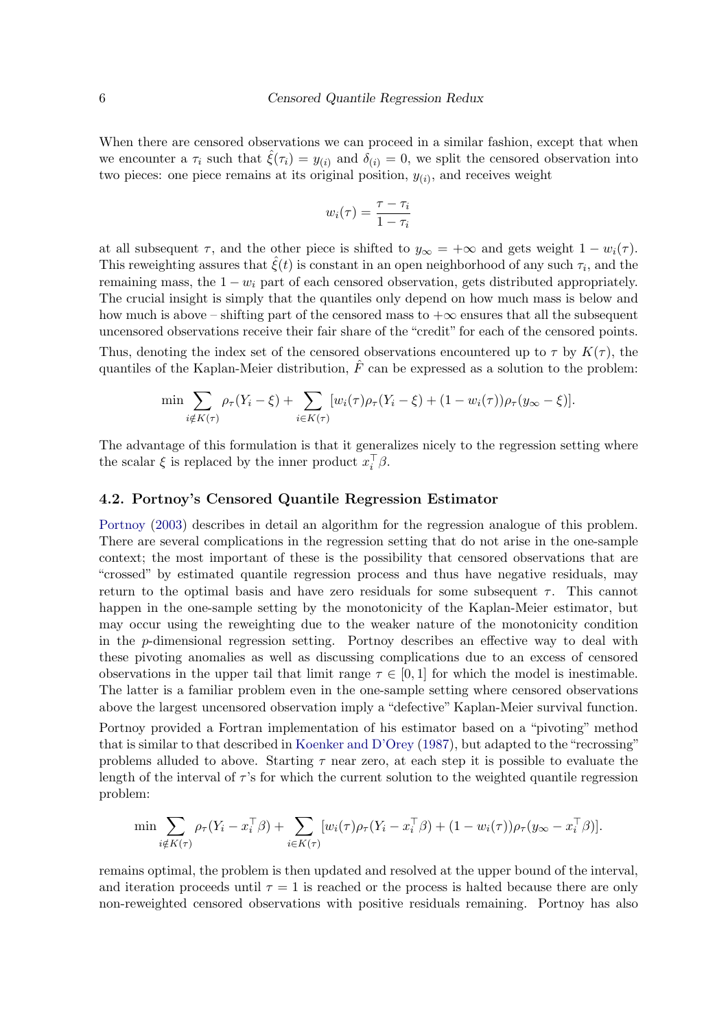When there are censored observations we can proceed in a similar fashion, except that when we encounter a  $\tau_i$  such that  $\hat{\xi}(\tau_i) = y_{(i)}$  and  $\delta_{(i)} = 0$ , we split the censored observation into two pieces: one piece remains at its original position,  $y_{(i)}$ , and receives weight

$$
w_i(\tau) = \frac{\tau - \tau_i}{1 - \tau_i}
$$

at all subsequent  $\tau$ , and the other piece is shifted to  $y_{\infty} = +\infty$  and gets weight  $1 - w_i(\tau)$ . This reweighting assures that  $\hat{\xi}(t)$  is constant in an open neighborhood of any such  $\tau_i$ , and the remaining mass, the  $1 - w_i$  part of each censored observation, gets distributed appropriately. The crucial insight is simply that the quantiles only depend on how much mass is below and how much is above – shifting part of the censored mass to  $+\infty$  ensures that all the subsequent uncensored observations receive their fair share of the "credit" for each of the censored points.

Thus, denoting the index set of the censored observations encountered up to  $\tau$  by  $K(\tau)$ , the quantiles of the Kaplan-Meier distribution,  $\hat{F}$  can be expressed as a solution to the problem:

$$
\min \sum_{i \notin K(\tau)} \rho_{\tau}(Y_i - \xi) + \sum_{i \in K(\tau)} [w_i(\tau)\rho_{\tau}(Y_i - \xi) + (1 - w_i(\tau))\rho_{\tau}(y_{\infty} - \xi)].
$$

The advantage of this formulation is that it generalizes nicely to the regression setting where the scalar  $\xi$  is replaced by the inner product  $x_i^{\top} \beta$ .

#### 4.2. Portnoy's Censored Quantile Regression Estimator

[Portnoy](#page-25-1) [\(2003\)](#page-25-1) describes in detail an algorithm for the regression analogue of this problem. There are several complications in the regression setting that do not arise in the one-sample context; the most important of these is the possibility that censored observations that are "crossed" by estimated quantile regression process and thus have negative residuals, may return to the optimal basis and have zero residuals for some subsequent  $\tau$ . This cannot happen in the one-sample setting by the monotonicity of the Kaplan-Meier estimator, but may occur using the reweighting due to the weaker nature of the monotonicity condition in the p-dimensional regression setting. Portnoy describes an effective way to deal with these pivoting anomalies as well as discussing complications due to an excess of censored observations in the upper tail that limit range  $\tau \in [0,1]$  for which the model is inestimable. The latter is a familiar problem even in the one-sample setting where censored observations above the largest uncensored observation imply a "defective" Kaplan-Meier survival function.

Portnoy provided a Fortran implementation of his estimator based on a "pivoting" method that is similar to that described in [Koenker and D'Orey](#page-24-12) [\(1987\)](#page-24-12), but adapted to the "recrossing" problems alluded to above. Starting  $\tau$  near zero, at each step it is possible to evaluate the length of the interval of  $\tau$ 's for which the current solution to the weighted quantile regression problem:

$$
\min \sum_{i \notin K(\tau)} \rho_{\tau}(Y_i - x_i^{\top} \beta) + \sum_{i \in K(\tau)} [w_i(\tau) \rho_{\tau}(Y_i - x_i^{\top} \beta) + (1 - w_i(\tau)) \rho_{\tau}(y_{\infty} - x_i^{\top} \beta)].
$$

remains optimal, the problem is then updated and resolved at the upper bound of the interval, and iteration proceeds until  $\tau = 1$  is reached or the process is halted because there are only non-reweighted censored observations with positive residuals remaining. Portnoy has also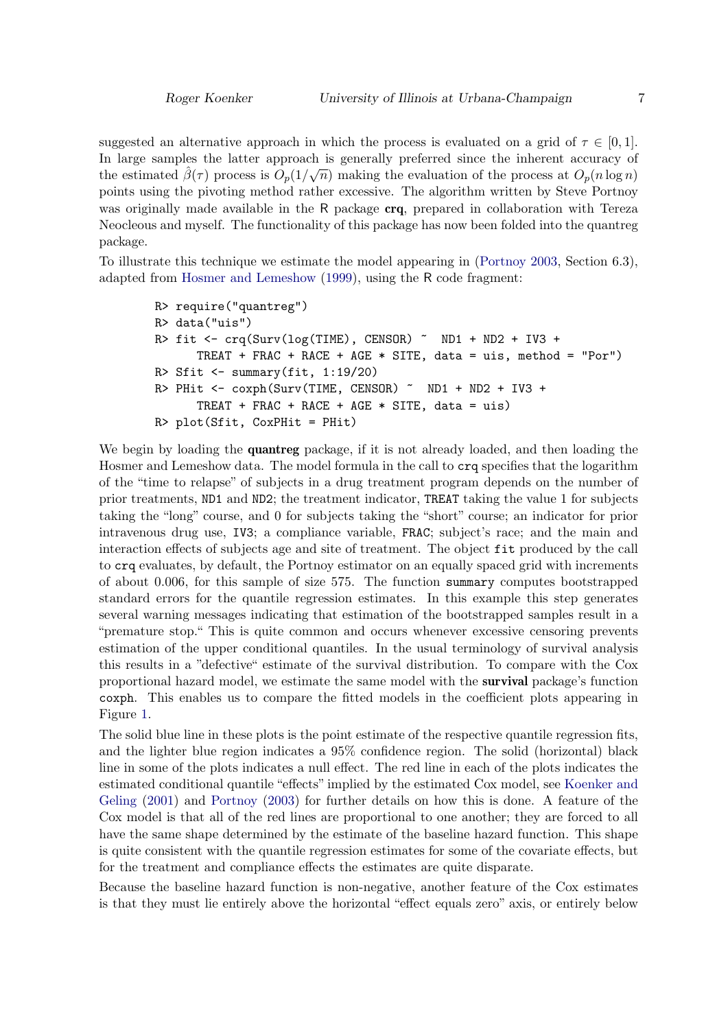suggested an alternative approach in which the process is evaluated on a grid of  $\tau \in [0, 1]$ . In large samples the latter approach is generally preferred since the inherent accuracy of  $\frac{1}{2}$ the estimated  $\hat{\beta}(\tau)$  process is  $O_p(1/\sqrt{n})$  making the evaluation of the process at  $O_p(n \log n)$ points using the pivoting method rather excessive. The algorithm written by Steve Portnoy was originally made available in the R package **crq**, prepared in collaboration with Tereza Neocleous and myself. The functionality of this package has now been folded into the quantreg package.

To illustrate this technique we estimate the model appearing in [\(Portnoy](#page-25-1) [2003,](#page-25-1) Section 6.3), adapted from [Hosmer and Lemeshow](#page-24-13) [\(1999\)](#page-24-13), using the R code fragment:

```
R> require("quantreg")
R> data("uis")
R> fit <- crq(Surv(log(TIME), CENSOR) ~ ND1 + ND2 + IV3 +
      TREAT + FRAC + RACE + AGE * SITE, data = uis, method = "Por")
R> Sfit \leq summary(fit, 1:19/20)
R> PHit <- coxph(Surv(TIME, CENSOR) ~ ND1 + ND2 + IV3 +
      TREAT + FRAC + RACE + AGE * SITE, data = uis)
R> plot(Sfit, CoxPHit = PHit)
```
We begin by loading the **quantreg** package, if it is not already loaded, and then loading the Hosmer and Lemeshow data. The model formula in the call to crq specifies that the logarithm of the "time to relapse" of subjects in a drug treatment program depends on the number of prior treatments, ND1 and ND2; the treatment indicator, TREAT taking the value 1 for subjects taking the "long" course, and 0 for subjects taking the "short" course; an indicator for prior intravenous drug use, IV3; a compliance variable, FRAC; subject's race; and the main and interaction effects of subjects age and site of treatment. The object fit produced by the call to crq evaluates, by default, the Portnoy estimator on an equally spaced grid with increments of about 0.006, for this sample of size 575. The function summary computes bootstrapped standard errors for the quantile regression estimates. In this example this step generates several warning messages indicating that estimation of the bootstrapped samples result in a "premature stop." This is quite common and occurs whenever excessive censoring prevents estimation of the upper conditional quantiles. In the usual terminology of survival analysis this results in a "defective" estimate of the survival distribution. To compare with the Cox proportional hazard model, we estimate the same model with the survival package's function coxph. This enables us to compare the fitted models in the coefficient plots appearing in Figure [1.](#page-7-0)

The solid blue line in these plots is the point estimate of the respective quantile regression fits, and the lighter blue region indicates a 95% confidence region. The solid (horizontal) black line in some of the plots indicates a null effect. The red line in each of the plots indicates the estimated conditional quantile "effects" implied by the estimated Cox model, see [Koenker and](#page-24-1) [Geling](#page-24-1) [\(2001\)](#page-24-1) and [Portnoy](#page-25-1) [\(2003\)](#page-25-1) for further details on how this is done. A feature of the Cox model is that all of the red lines are proportional to one another; they are forced to all have the same shape determined by the estimate of the baseline hazard function. This shape is quite consistent with the quantile regression estimates for some of the covariate effects, but for the treatment and compliance effects the estimates are quite disparate.

Because the baseline hazard function is non-negative, another feature of the Cox estimates is that they must lie entirely above the horizontal "effect equals zero" axis, or entirely below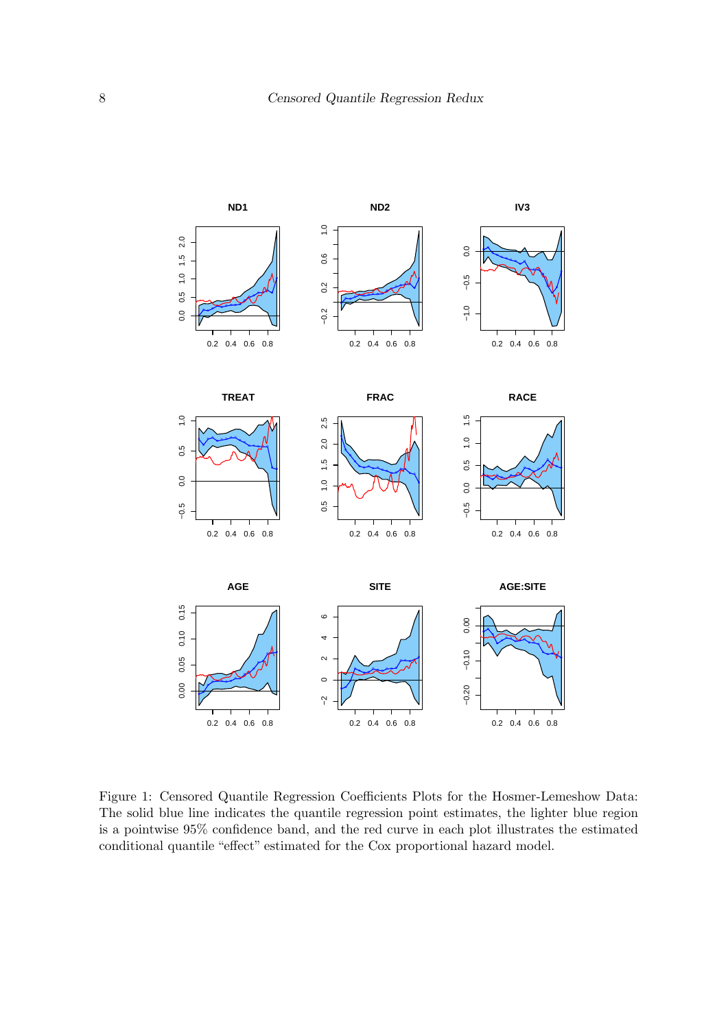

<span id="page-7-0"></span>Figure 1: Censored Quantile Regression Coefficients Plots for the Hosmer-Lemeshow Data: The solid blue line indicates the quantile regression point estimates, the lighter blue region is a pointwise 95% confidence band, and the red curve in each plot illustrates the estimated conditional quantile "effect" estimated for the Cox proportional hazard model.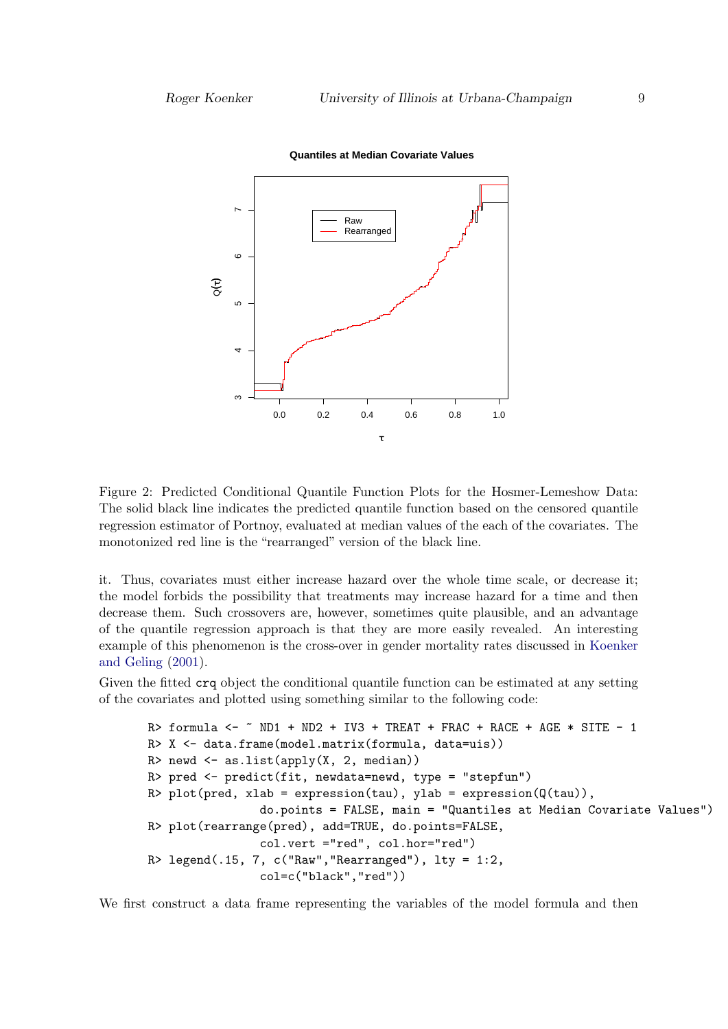

**Quantiles at Median Covariate Values**

Figure 2: Predicted Conditional Quantile Function Plots for the Hosmer-Lemeshow Data: The solid black line indicates the predicted quantile function based on the censored quantile regression estimator of Portnoy, evaluated at median values of the each of the covariates. The monotonized red line is the "rearranged" version of the black line.

it. Thus, covariates must either increase hazard over the whole time scale, or decrease it; the model forbids the possibility that treatments may increase hazard for a time and then decrease them. Such crossovers are, however, sometimes quite plausible, and an advantage of the quantile regression approach is that they are more easily revealed. An interesting example of this phenomenon is the cross-over in gender mortality rates discussed in [Koenker](#page-24-1) [and Geling](#page-24-1) [\(2001\)](#page-24-1).

Given the fitted crq object the conditional quantile function can be estimated at any setting of the covariates and plotted using something similar to the following code:

```
R> formula <- \degree ND1 + ND2 + IV3 + TREAT + FRAC + RACE + AGE * SITE - 1
R> X <- data.frame(model.matrix(formula, data=uis))
R> newd \leq as.list(apply(X, 2, median))
R> pred <- predict(fit, newdata=newd, type = "stepfun")
R> plot(pred, xlab = expression(tau), ylab = expression(Q(tau)),
                do.points = FALSE, main = "Quantiles at Median Covariate Values")
R> plot(rearrange(pred), add=TRUE, do.points=FALSE,
                col.vert ="red", col.hor="red")
R> legend(.15, 7, c("Raw", "Rearranged"), lty = 1:2,col=c("black","red"))
```
We first construct a data frame representing the variables of the model formula and then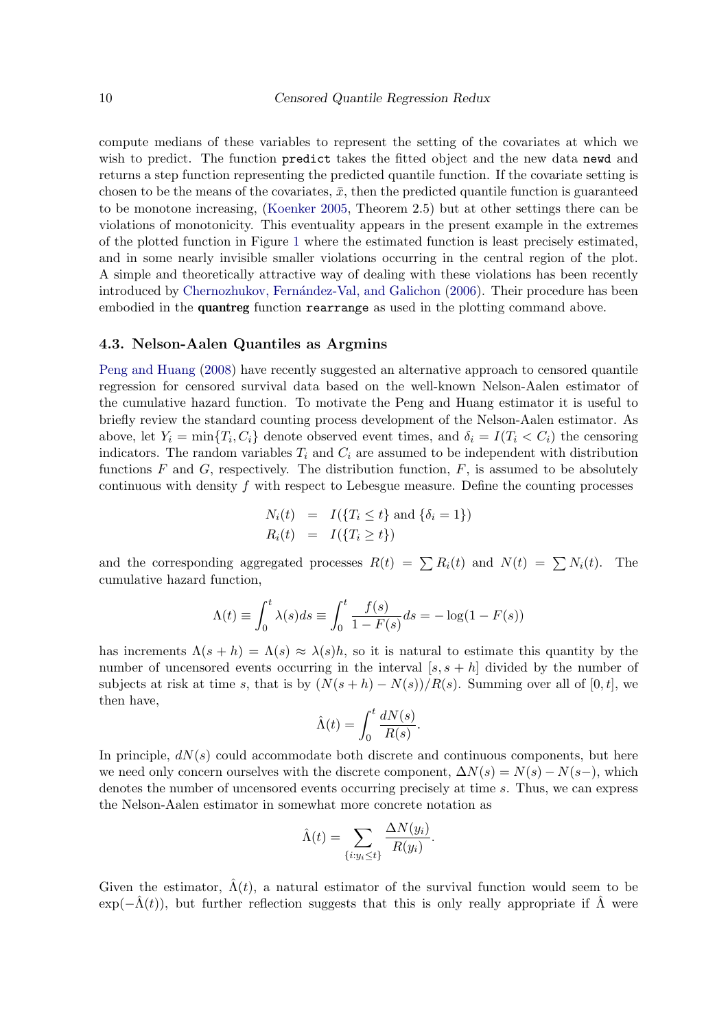compute medians of these variables to represent the setting of the covariates at which we wish to predict. The function predict takes the fitted object and the new data newd and returns a step function representing the predicted quantile function. If the covariate setting is chosen to be the means of the covariates,  $\bar{x}$ , then the predicted quantile function is guaranteed to be monotone increasing, [\(Koenker](#page-24-4) [2005,](#page-24-4) Theorem 2.5) but at other settings there can be violations of monotonicity. This eventuality appears in the present example in the extremes of the plotted function in Figure [1](#page-7-0) where the estimated function is least precisely estimated, and in some nearly invisible smaller violations occurring in the central region of the plot. A simple and theoretically attractive way of dealing with these violations has been recently introduced by Chernozhukov, Fernández-Val, and Galichon [\(2006\)](#page-24-14). Their procedure has been embodied in the **quantreg** function rearrange as used in the plotting command above.

#### 4.3. Nelson-Aalen Quantiles as Argmins

[Peng and Huang](#page-25-2) [\(2008\)](#page-25-2) have recently suggested an alternative approach to censored quantile regression for censored survival data based on the well-known Nelson-Aalen estimator of the cumulative hazard function. To motivate the Peng and Huang estimator it is useful to briefly review the standard counting process development of the Nelson-Aalen estimator. As above, let  $Y_i = \min\{T_i, C_i\}$  denote observed event times, and  $\delta_i = I(T_i < C_i)$  the censoring indicators. The random variables  $T_i$  and  $C_i$  are assumed to be independent with distribution functions  $F$  and  $G$ , respectively. The distribution function,  $F$ , is assumed to be absolutely continuous with density  $f$  with respect to Lebesgue measure. Define the counting processes

$$
N_i(t) = I({T_i \le t} \text{ and } {\delta_i = 1})
$$
  

$$
R_i(t) = I({T_i \ge t})
$$

and the corresponding aggregated processes  $R(t) = \sum R_i(t)$  and  $N(t) = \sum N_i(t)$ . The cumulative hazard function,

$$
\Lambda(t) \equiv \int_0^t \lambda(s)ds \equiv \int_0^t \frac{f(s)}{1 - F(s)}ds = -\log(1 - F(s))
$$

has increments  $\Lambda(s+h) = \Lambda(s) \approx \lambda(s)h$ , so it is natural to estimate this quantity by the number of uncensored events occurring in the interval  $[s, s + h]$  divided by the number of subjects at risk at time s, that is by  $(N(s+h) - N(s))/R(s)$ . Summing over all of [0, t], we then have,

$$
\hat{\Lambda}(t) = \int_0^t \frac{dN(s)}{R(s)}.
$$

In principle,  $dN(s)$  could accommodate both discrete and continuous components, but here we need only concern ourselves with the discrete component,  $\Delta N(s) = N(s) - N(s-)$ , which denotes the number of uncensored events occurring precisely at time s. Thus, we can express the Nelson-Aalen estimator in somewhat more concrete notation as

$$
\hat{\Lambda}(t) = \sum_{\{i:y_i \le t\}} \frac{\Delta N(y_i)}{R(y_i)}.
$$

Given the estimator,  $\hat{\Lambda}(t)$ , a natural estimator of the survival function would seem to be  $\exp(-\hat{\Lambda}(t))$ , but further reflection suggests that this is only really appropriate if  $\hat{\Lambda}$  were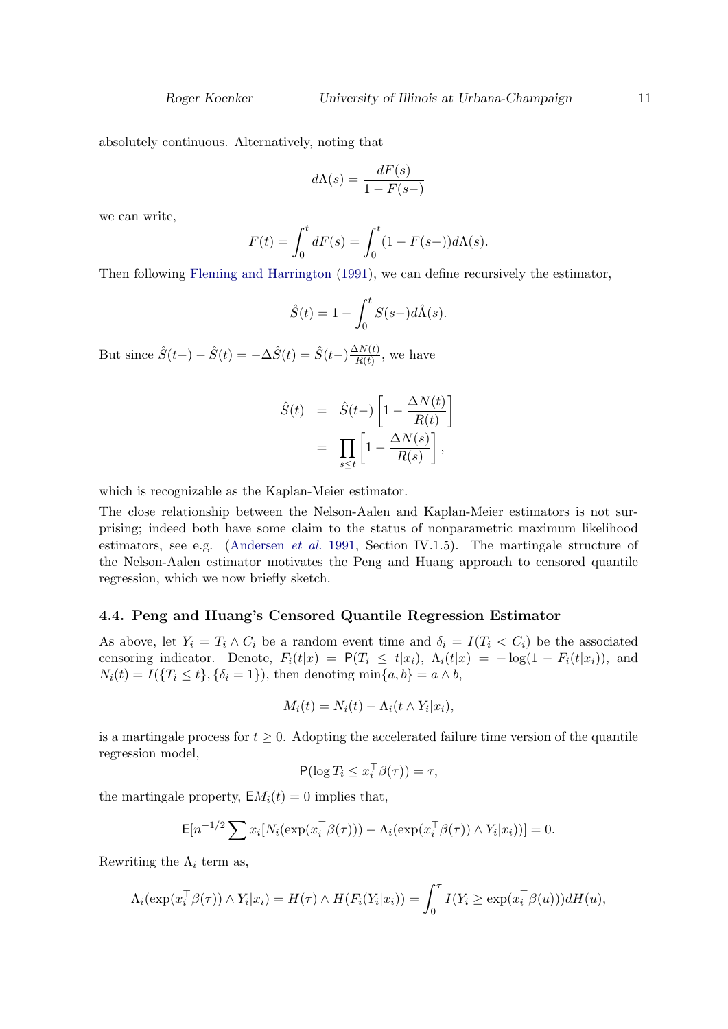absolutely continuous. Alternatively, noting that

$$
d\Lambda(s) = \frac{dF(s)}{1 - F(s-)}
$$

we can write,

$$
F(t) = \int_0^t dF(s) = \int_0^t (1 - F(s-))d\Lambda(s).
$$

Then following [Fleming and Harrington](#page-24-15) [\(1991\)](#page-24-15), we can define recursively the estimator,

$$
\hat{S}(t) = 1 - \int_0^t S(s-)d\hat{\Lambda}(s).
$$

But since  $\hat{S}(t-) - \hat{S}(t) = -\Delta \hat{S}(t) = \hat{S}(t-) \frac{\Delta N(t)}{R(t)}$  $\frac{\Delta N(t)}{R(t)}$ , we have

$$
\hat{S}(t) = \hat{S}(t-)\left[1 - \frac{\Delta N(t)}{R(t)}\right]
$$

$$
= \prod_{s \le t} \left[1 - \frac{\Delta N(s)}{R(s)}\right],
$$

which is recognizable as the Kaplan-Meier estimator.

The close relationship between the Nelson-Aalen and Kaplan-Meier estimators is not surprising; indeed both have some claim to the status of nonparametric maximum likelihood estimators, see e.g. [\(Andersen](#page-24-10) *et al.* [1991,](#page-24-10) Section IV.1.5). The martingale structure of the Nelson-Aalen estimator motivates the Peng and Huang approach to censored quantile regression, which we now briefly sketch.

### 4.4. Peng and Huang's Censored Quantile Regression Estimator

As above, let  $Y_i = T_i \wedge C_i$  be a random event time and  $\delta_i = I(T_i \langle C_i]$  be the associated censoring indicator. Denote,  $F_i(t|x) = P(T_i \leq t|x_i)$ ,  $\Lambda_i(t|x) = -\log(1 - F_i(t|x_i))$ , and  $N_i(t) = I({T_i \le t}, {\delta_i = 1})$ , then denoting min ${a, b} = a \wedge b$ ,

$$
M_i(t) = N_i(t) - \Lambda_i(t \wedge Y_i | x_i),
$$

is a martingale process for  $t \geq 0$ . Adopting the accelerated failure time version of the quantile regression model,

$$
\mathsf{P}(\log T_i \le x_i^\top \beta(\tau)) = \tau,
$$

the martingale property,  $EM_i(t) = 0$  implies that,

$$
\mathsf{E}[n^{-1/2}\sum x_i[N_i(\exp(x_i^\top \beta(\tau))) - \Lambda_i(\exp(x_i^\top \beta(\tau)) \wedge Y_i|x_i))] = 0.
$$

Rewriting the  $\Lambda_i$  term as,

$$
\Lambda_i(\exp(x_i^\top \beta(\tau)) \wedge Y_i | x_i) = H(\tau) \wedge H(F_i(Y_i | x_i)) = \int_0^\tau I(Y_i \geq \exp(x_i^\top \beta(u))) dH(u),
$$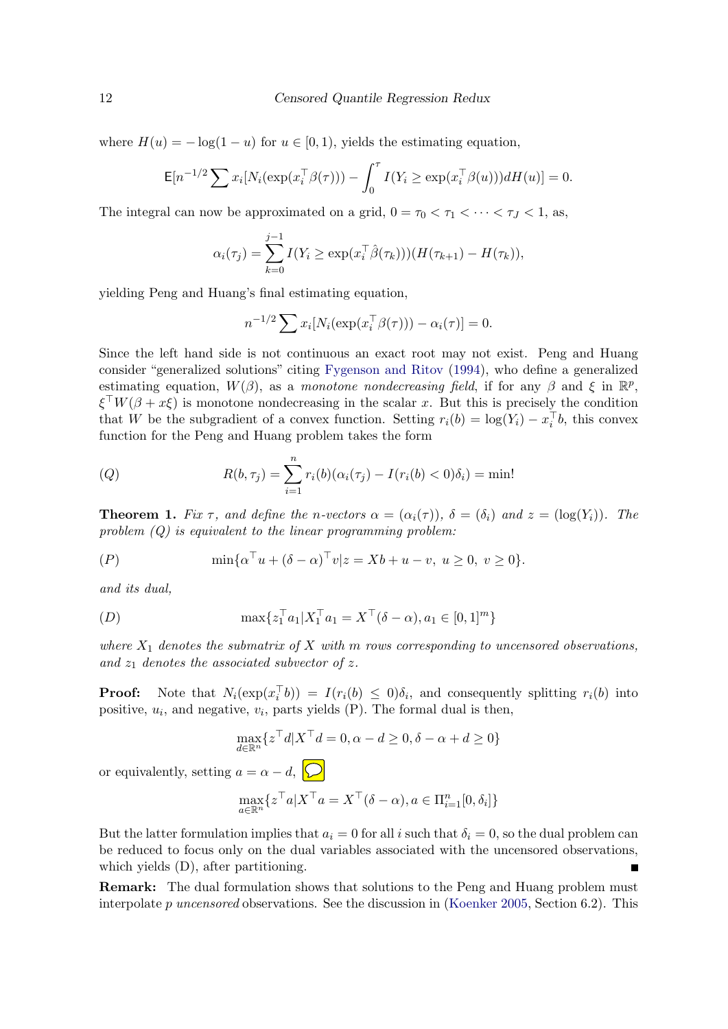where  $H(u) = -\log(1 - u)$  for  $u \in [0, 1)$ , yields the estimating equation,

$$
\mathsf{E}[n^{-1/2}\sum x_i[N_i(\exp(x_i^\top \beta(\tau))) - \int_0^\tau I(Y_i \geq \exp(x_i^\top \beta(u)))dH(u)] = 0.
$$

The integral can now be approximated on a grid,  $0 = \tau_0 < \tau_1 < \cdots < \tau_J < 1$ , as,

$$
\alpha_i(\tau_j) = \sum_{k=0}^{j-1} I(Y_i \ge \exp(x_i^\top \hat{\beta}(\tau_k))) (H(\tau_{k+1}) - H(\tau_k)),
$$

yielding Peng and Huang's final estimating equation,

$$
n^{-1/2} \sum x_i [N_i(\exp(x_i^\top \beta(\tau))) - \alpha_i(\tau)] = 0.
$$

Since the left hand side is not continuous an exact root may not exist. Peng and Huang consider "generalized solutions" citing [Fygenson and Ritov](#page-24-16) [\(1994\)](#page-24-16), who define a generalized estimating equation,  $W(\beta)$ , as a monotone nondecreasing field, if for any  $\beta$  and  $\xi$  in  $\mathbb{R}^p$ ,  $\xi^{\top}W(\beta + x\xi)$  is monotone nondecreasing in the scalar x. But this is precisely the condition that W be the subgradient of a convex function. Setting  $r_i(b) = \log(Y_i) - x_i^{\top}b$ , this convex function for the Peng and Huang problem takes the form

(Q) 
$$
R(b,\tau_j) = \sum_{i=1}^n r_i(b)(\alpha_i(\tau_j) - I(r_i(b) < 0)\delta_i) = \min!
$$

**Theorem 1.** Fix  $\tau$ , and define the n-vectors  $\alpha = (\alpha_i(\tau))$ ,  $\delta = (\delta_i)$  and  $z = (\log(Y_i))$ . The problem  $(Q)$  is equivalent to the linear programming problem:

$$
(P) \tmin \{ \alpha^{\top} u + (\delta - \alpha)^{\top} v | z = Xb + u - v, \ u \ge 0, \ v \ge 0 \}.
$$

and its dual,

(D) 
$$
\max \{ z_1^\top a_1 | X_1^\top a_1 = X^\top (\delta - \alpha), a_1 \in [0, 1]^m \}
$$

where  $X_1$  denotes the submatrix of X with m rows corresponding to uncensored observations, and  $z_1$  denotes the associated subvector of z.

**Proof:** Note that  $N_i(\exp(x_i^{\top}b)) = I(r_i(b) \leq 0)\delta_i$ , and consequently splitting  $r_i(b)$  into positive,  $u_i$ , and negative,  $v_i$ , parts yields  $(P)$ . The formal dual is then,

$$
\max_{d \in \mathbb{R}^n} \{ z^\top d | X^\top d = 0, \alpha - d \ge 0, \delta - \alpha + d \ge 0 \}
$$

or equivalently, setting  $a = \alpha - d$ ,  $\boxed{\bigcirc}$ 

$$
\max_{a \in \mathbb{R}^n} \{ z^\top a | X^\top a = X^\top (\delta - \alpha), a \in \Pi_{i=1}^n [0, \delta_i] \}
$$

But the latter formulation implies that  $a_i = 0$  for all i such that  $\delta_i = 0$ , so the dual problem can be reduced to focus only on the dual variables associated with the uncensored observations, which yields (D), after partitioning.

Remark: The dual formulation shows that solutions to the Peng and Huang problem must interpolate  $p$  uncensored observations. See the discussion in [\(Koenker](#page-24-4) [2005,](#page-24-4) Section 6.2). This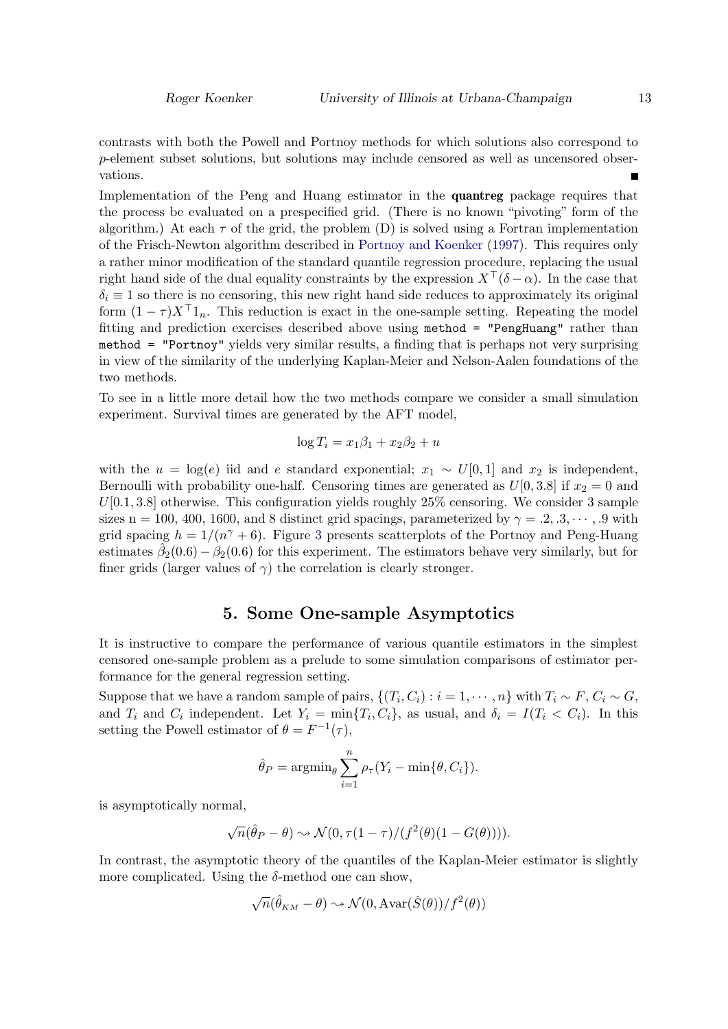contrasts with both the Powell and Portnoy methods for which solutions also correspond to p-element subset solutions, but solutions may include censored as well as uncensored observations.

Implementation of the Peng and Huang estimator in the quantreg package requires that the process be evaluated on a prespecified grid. (There is no known "pivoting" form of the algorithm.) At each  $\tau$  of the grid, the problem (D) is solved using a Fortran implementation of the Frisch-Newton algorithm described in [Portnoy and Koenker](#page-25-7) [\(1997\)](#page-25-7). This requires only a rather minor modification of the standard quantile regression procedure, replacing the usual right hand side of the dual equality constraints by the expression  $X^{\top}(\delta-\alpha)$ . In the case that  $\delta_i \equiv 1$  so there is no censoring, this new right hand side reduces to approximately its original form  $(1 - \tau)X^{\top}1_n$ . This reduction is exact in the one-sample setting. Repeating the model fitting and prediction exercises described above using method = "PengHuang" rather than method = "Portnoy" yields very similar results, a finding that is perhaps not very surprising in view of the similarity of the underlying Kaplan-Meier and Nelson-Aalen foundations of the two methods.

To see in a little more detail how the two methods compare we consider a small simulation experiment. Survival times are generated by the AFT model,

$$
\log T_i = x_1 \beta_1 + x_2 \beta_2 + u
$$

with the  $u = \log(e)$  iid and e standard exponential;  $x_1 \sim U[0, 1]$  and  $x_2$  is independent, Bernoulli with probability one-half. Censoring times are generated as  $U[0,3.8]$  if  $x_2 = 0$  and  $U[0.1, 3.8]$  otherwise. This configuration yields roughly  $25\%$  censoring. We consider 3 sample sizes n = 100, 400, 1600, and 8 distinct grid spacings, parameterized by  $\gamma = .2, .3, \dots$ , 9 with grid spacing  $h = 1/(n^{\gamma} + 6)$ . Figure [3](#page-13-0) presents scatterplots of the Portnoy and Peng-Huang estimates  $\hat{\beta}_2(0.6) - \beta_2(0.6)$  for this experiment. The estimators behave very similarly, but for finer grids (larger values of  $\gamma$ ) the correlation is clearly stronger.

### 5. Some One-sample Asymptotics

It is instructive to compare the performance of various quantile estimators in the simplest censored one-sample problem as a prelude to some simulation comparisons of estimator performance for the general regression setting.

Suppose that we have a random sample of pairs,  $\{(T_i, C_i) : i = 1, \cdots, n\}$  with  $T_i \sim F$ ,  $C_i \sim G$ , and  $T_i$  and  $C_i$  independent. Let  $Y_i = \min\{T_i, C_i\}$ , as usual, and  $\delta_i = I(T_i \lt C_i)$ . In this setting the Powell estimator of  $\theta = F^{-1}(\tau)$ ,

$$
\hat{\theta}_P = \operatorname{argmin}_{\theta} \sum_{i=1}^n \rho_{\tau}(Y_i - \min{\theta, C_i}).
$$

is asymptotically normal,

$$
\sqrt{n}(\hat{\theta}_P - \theta) \sim \mathcal{N}(0, \tau(1-\tau)/(f^2(\theta)(1-G(\theta))))
$$

In contrast, the asymptotic theory of the quantiles of the Kaplan-Meier estimator is slightly more complicated. Using the  $\delta$ -method one can show,

$$
\sqrt{n}(\hat{\theta}_{KM} - \theta) \sim \mathcal{N}(0, \text{Avar}(\hat{S}(\theta))/f^2(\theta))
$$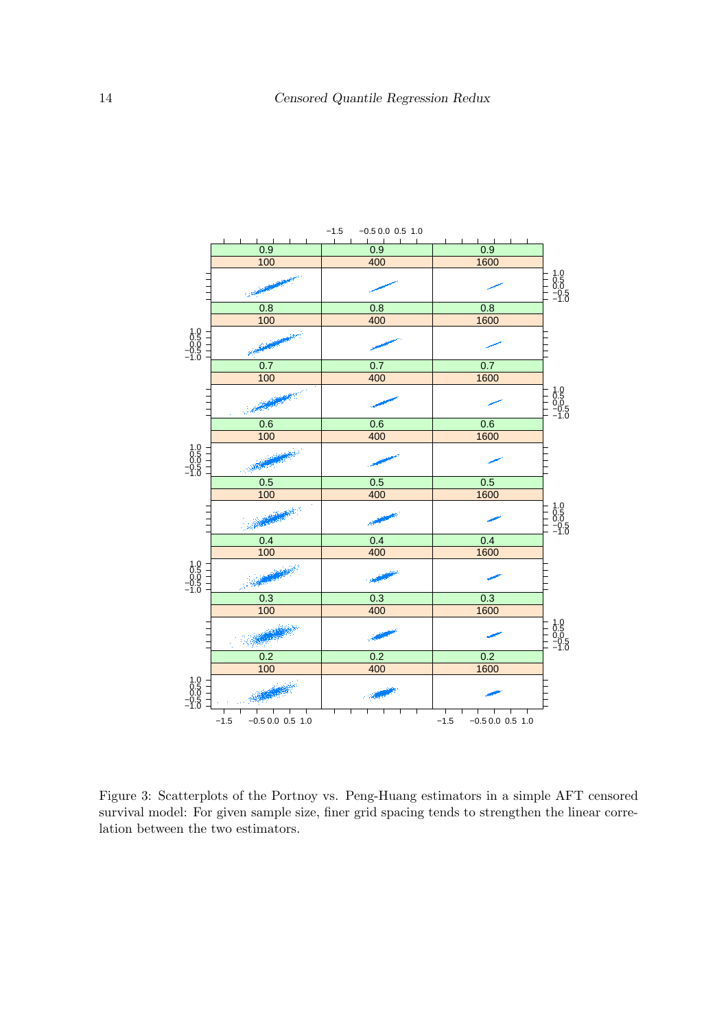

<span id="page-13-0"></span>Figure 3: Scatterplots of the Portnoy vs. Peng-Huang estimators in a simple AFT censored survival model: For given sample size, finer grid spacing tends to strengthen the linear correlation between the two estimators.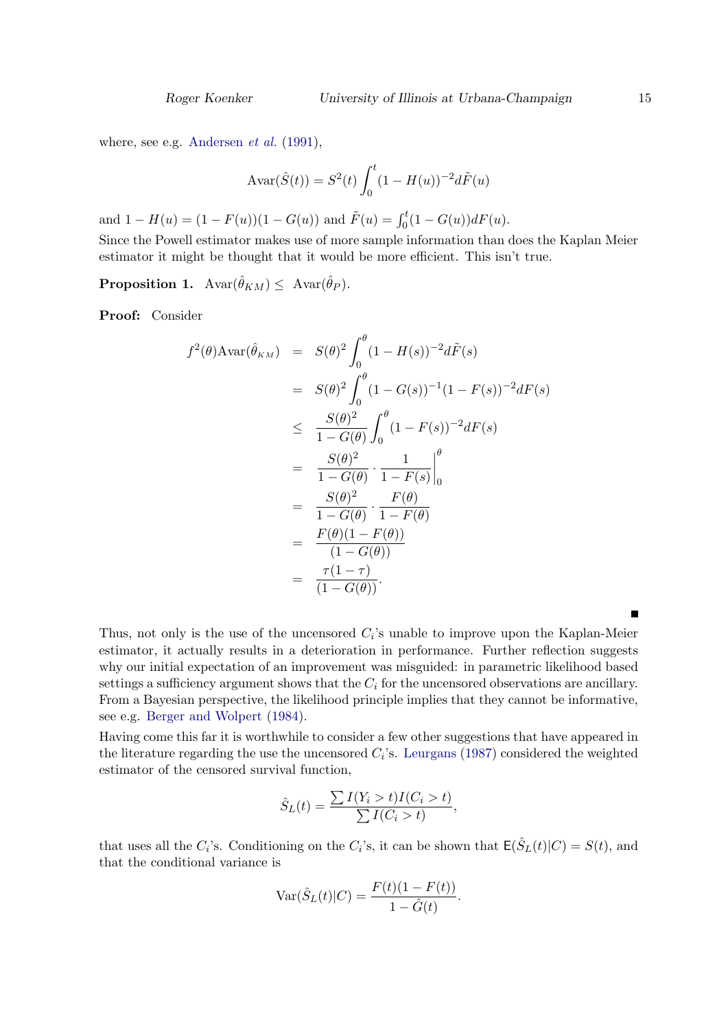where, see e.g. [Andersen](#page-24-10) *et al.* [\(1991\)](#page-24-10),

$$
Avar(\hat{S}(t)) = S^{2}(t) \int_{0}^{t} (1 - H(u))^{-2} d\tilde{F}(u)
$$

and  $1 - H(u) = (1 - F(u))(1 - G(u))$  and  $\tilde{F}(u) = \int_0^t (1 - G(u))dF(u)$ .

Since the Powell estimator makes use of more sample information than does the Kaplan Meier estimator it might be thought that it would be more efficient. This isn't true.

**Proposition 1.**  $Avar(\hat{\theta}_{KM}) \leq Avar(\hat{\theta}_P)$ .

Proof: Consider

$$
f^{2}(\theta) \text{Avar}(\hat{\theta}_{KM}) = S(\theta)^{2} \int_{0}^{\theta} (1 - H(s))^{-2} d\tilde{F}(s)
$$
  
\n
$$
= S(\theta)^{2} \int_{0}^{\theta} (1 - G(s))^{-1} (1 - F(s))^{-2} dF(s)
$$
  
\n
$$
\leq \frac{S(\theta)^{2}}{1 - G(\theta)} \int_{0}^{\theta} (1 - F(s))^{-2} dF(s)
$$
  
\n
$$
= \frac{S(\theta)^{2}}{1 - G(\theta)} \cdot \frac{1}{1 - F(s)} \Big|_{0}^{\theta}
$$
  
\n
$$
= \frac{S(\theta)^{2}}{1 - G(\theta)} \cdot \frac{F(\theta)}{1 - F(\theta)}
$$
  
\n
$$
= \frac{F(\theta)(1 - F(\theta))}{(1 - G(\theta))}
$$
  
\n
$$
= \frac{\tau(1 - \tau)}{(1 - G(\theta))}.
$$

Thus, not only is the use of the uncensored  $C_i$ 's unable to improve upon the Kaplan-Meier estimator, it actually results in a deterioration in performance. Further reflection suggests why our initial expectation of an improvement was misguided: in parametric likelihood based settings a sufficiency argument shows that the  $C_i$  for the uncensored observations are ancillary. From a Bayesian perspective, the likelihood principle implies that they cannot be informative, see e.g. [Berger and Wolpert](#page-24-17) [\(1984\)](#page-24-17).

Having come this far it is worthwhile to consider a few other suggestions that have appeared in the literature regarding the use the uncensored  $C_i$ 's. [Leurgans](#page-24-18) [\(1987\)](#page-24-18) considered the weighted estimator of the censored survival function,

$$
\hat{S}_L(t) = \frac{\sum I(Y_i > t)I(C_i > t)}{\sum I(C_i > t)},
$$

that uses all the  $C_i$ 's. Conditioning on the  $C_i$ 's, it can be shown that  $E(\hat{S}_L(t)|C) = S(t)$ , and that the conditional variance is

$$
Var(\hat{S}_L(t)|C) = \frac{F(t)(1 - F(t))}{1 - \hat{G}(t)}.
$$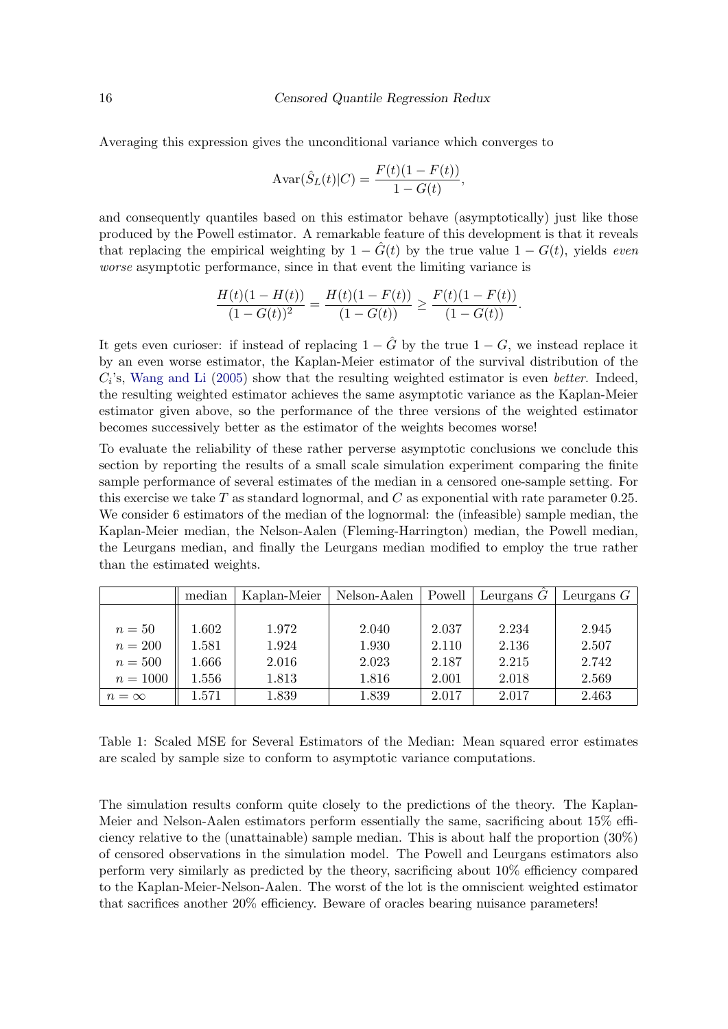Averaging this expression gives the unconditional variance which converges to

$$
Avar(\hat{S}_L(t)|C) = \frac{F(t)(1 - F(t))}{1 - G(t)},
$$

and consequently quantiles based on this estimator behave (asymptotically) just like those produced by the Powell estimator. A remarkable feature of this development is that it reveals that replacing the empirical weighting by  $1 - \tilde{G}(t)$  by the true value  $1 - G(t)$ , yields even worse asymptotic performance, since in that event the limiting variance is

$$
\frac{H(t)(1 - H(t))}{(1 - G(t))^2} = \frac{H(t)(1 - F(t))}{(1 - G(t))} \ge \frac{F(t)(1 - F(t))}{(1 - G(t))}.
$$

It gets even curioser: if instead of replacing  $1 - \hat{G}$  by the true  $1 - G$ , we instead replace it by an even worse estimator, the Kaplan-Meier estimator of the survival distribution of the  $C_i$ 's, [Wang and Li](#page-25-8) [\(2005\)](#page-25-8) show that the resulting weighted estimator is even *better*. Indeed, the resulting weighted estimator achieves the same asymptotic variance as the Kaplan-Meier estimator given above, so the performance of the three versions of the weighted estimator becomes successively better as the estimator of the weights becomes worse!

To evaluate the reliability of these rather perverse asymptotic conclusions we conclude this section by reporting the results of a small scale simulation experiment comparing the finite sample performance of several estimates of the median in a censored one-sample setting. For this exercise we take  $T$  as standard lognormal, and  $C$  as exponential with rate parameter 0.25. We consider 6 estimators of the median of the lognormal: the (infeasible) sample median, the Kaplan-Meier median, the Nelson-Aalen (Fleming-Harrington) median, the Powell median, the Leurgans median, and finally the Leurgans median modified to employ the true rather than the estimated weights.

|            | median    | Kaplan-Meier | Nelson-Aalen | Powell | Leurgans $\ddot{G}$ | Leurgans $G$ |
|------------|-----------|--------------|--------------|--------|---------------------|--------------|
|            |           |              |              |        |                     |              |
| $n=50$     | 1.602     | 1.972        | 2.040        | 2.037  | 2.234               | 2.945        |
| $n=200$    | 1.581     | 1.924        | 1.930        | 2.110  | 2.136               | 2.507        |
| $n=500$    | 1.666     | 2.016        | 2.023        | 2.187  | 2.215               | 2.742        |
| $n = 1000$ | 1.556     | 1.813        | 1.816        | 2.001  | 2.018               | 2.569        |
| $n=\infty$ | $1.571\,$ | 1.839        | 1.839        | 2.017  | 2.017               | 2.463        |

Table 1: Scaled MSE for Several Estimators of the Median: Mean squared error estimates are scaled by sample size to conform to asymptotic variance computations.

The simulation results conform quite closely to the predictions of the theory. The Kaplan-Meier and Nelson-Aalen estimators perform essentially the same, sacrificing about 15% efficiency relative to the (unattainable) sample median. This is about half the proportion (30%) of censored observations in the simulation model. The Powell and Leurgans estimators also perform very similarly as predicted by the theory, sacrificing about 10% efficiency compared to the Kaplan-Meier-Nelson-Aalen. The worst of the lot is the omniscient weighted estimator that sacrifices another 20% efficiency. Beware of oracles bearing nuisance parameters!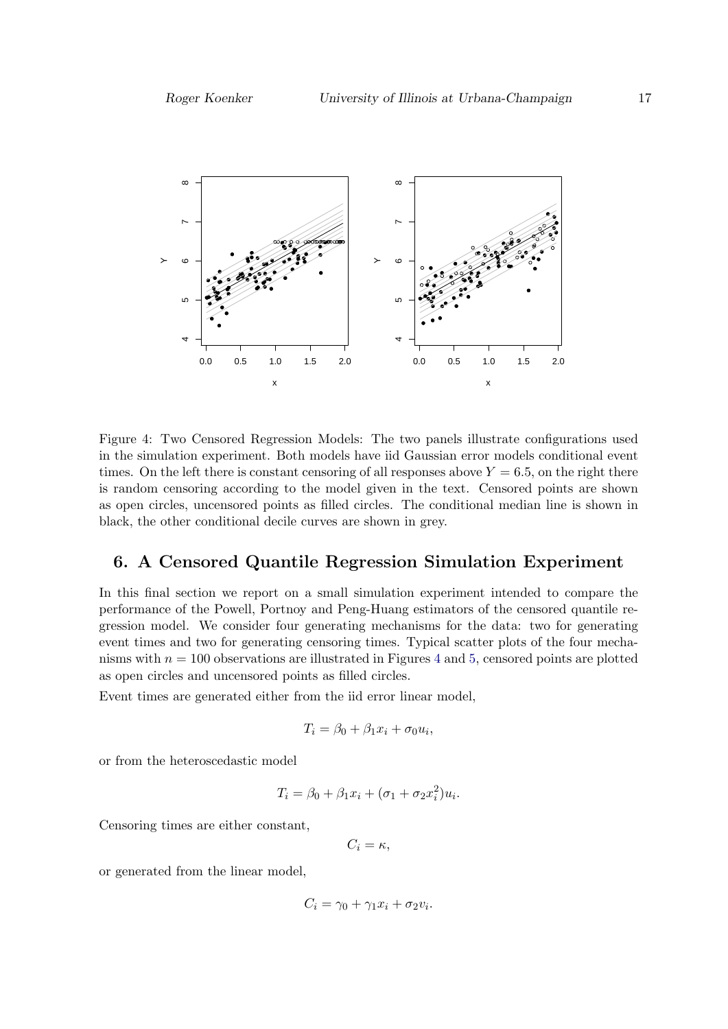

<span id="page-16-0"></span>Figure 4: Two Censored Regression Models: The two panels illustrate configurations used in the simulation experiment. Both models have iid Gaussian error models conditional event times. On the left there is constant censoring of all responses above  $Y = 6.5$ , on the right there is random censoring according to the model given in the text. Censored points are shown as open circles, uncensored points as filled circles. The conditional median line is shown in black, the other conditional decile curves are shown in grey.

# 6. A Censored Quantile Regression Simulation Experiment

In this final section we report on a small simulation experiment intended to compare the performance of the Powell, Portnoy and Peng-Huang estimators of the censored quantile regression model. We consider four generating mechanisms for the data: two for generating event times and two for generating censoring times. Typical scatter plots of the four mechanisms with  $n = 100$  observations are illustrated in Figures [4](#page-16-0) and [5,](#page-17-0) censored points are plotted as open circles and uncensored points as filled circles.

Event times are generated either from the iid error linear model,

$$
T_i = \beta_0 + \beta_1 x_i + \sigma_0 u_i,
$$

or from the heteroscedastic model

$$
T_i = \beta_0 + \beta_1 x_i + (\sigma_1 + \sigma_2 x_i^2) u_i.
$$

Censoring times are either constant,

$$
C_i = \kappa,
$$

or generated from the linear model,

$$
C_i = \gamma_0 + \gamma_1 x_i + \sigma_2 v_i.
$$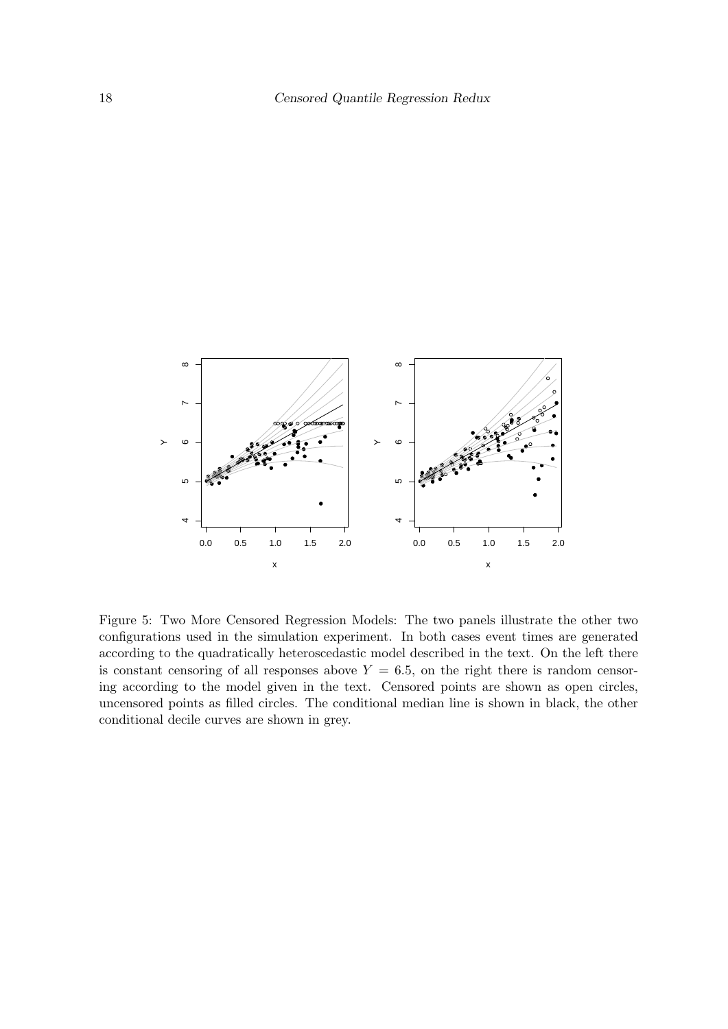

<span id="page-17-0"></span>Figure 5: Two More Censored Regression Models: The two panels illustrate the other two configurations used in the simulation experiment. In both cases event times are generated according to the quadratically heteroscedastic model described in the text. On the left there is constant censoring of all responses above  $Y = 6.5$ , on the right there is random censoring according to the model given in the text. Censored points are shown as open circles, uncensored points as filled circles. The conditional median line is shown in black, the other conditional decile curves are shown in grey.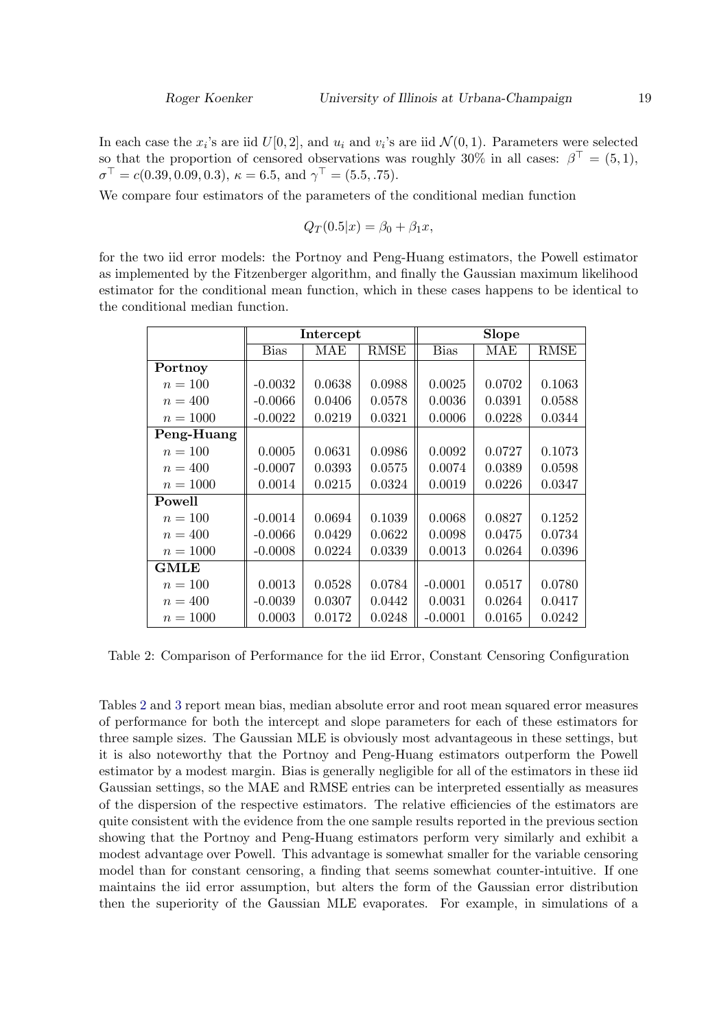In each case the  $x_i$ 's are iid  $U[0, 2]$ , and  $u_i$  and  $v_i$ 's are iid  $\mathcal{N}(0, 1)$ . Parameters were selected so that the proportion of censored observations was roughly 30% in all cases:  $\beta^{\top} = (5, 1)$ ,  $\sigma^{\top} = c(0.39, 0.09, 0.3), \ \kappa = 6.5, \text{ and } \gamma^{\top} = (5.5, .75).$ 

We compare four estimators of the parameters of the conditional median function

$$
Q_T(0.5|x) = \beta_0 + \beta_1 x,
$$

for the two iid error models: the Portnoy and Peng-Huang estimators, the Powell estimator as implemented by the Fitzenberger algorithm, and finally the Gaussian maximum likelihood estimator for the conditional mean function, which in these cases happens to be identical to the conditional median function.

|             |             | Intercept |        | <b>Slope</b> |        |        |
|-------------|-------------|-----------|--------|--------------|--------|--------|
|             | <b>Bias</b> | MAE       | RMSE   | <b>Bias</b>  | MAE    | RMSE   |
| Portnoy     |             |           |        |              |        |        |
| $n = 100$   | $-0.0032$   | 0.0638    | 0.0988 | 0.0025       | 0.0702 | 0.1063 |
| $n = 400$   | $-0.0066$   | 0.0406    | 0.0578 | 0.0036       | 0.0391 | 0.0588 |
| $n = 1000$  | $-0.0022$   | 0.0219    | 0.0321 | 0.0006       | 0.0228 | 0.0344 |
| Peng-Huang  |             |           |        |              |        |        |
| $n = 100$   | 0.0005      | 0.0631    | 0.0986 | 0.0092       | 0.0727 | 0.1073 |
| $n = 400$   | $-0.0007$   | 0.0393    | 0.0575 | 0.0074       | 0.0389 | 0.0598 |
| $n = 1000$  | 0.0014      | 0.0215    | 0.0324 | 0.0019       | 0.0226 | 0.0347 |
| Powell      |             |           |        |              |        |        |
| $n = 100$   | $-0.0014$   | 0.0694    | 0.1039 | 0.0068       | 0.0827 | 0.1252 |
| $n = 400$   | $-0.0066$   | 0.0429    | 0.0622 | 0.0098       | 0.0475 | 0.0734 |
| $n = 1000$  | $-0.0008$   | 0.0224    | 0.0339 | 0.0013       | 0.0264 | 0.0396 |
| <b>GMLE</b> |             |           |        |              |        |        |
| $n = 100$   | 0.0013      | 0.0528    | 0.0784 | $-0.0001$    | 0.0517 | 0.0780 |
| $n = 400$   | $-0.0039$   | 0.0307    | 0.0442 | 0.0031       | 0.0264 | 0.0417 |
| $n = 1000$  | 0.0003      | 0.0172    | 0.0248 | $-0.0001$    | 0.0165 | 0.0242 |

<span id="page-18-0"></span>Table 2: Comparison of Performance for the iid Error, Constant Censoring Configuration

Tables [2](#page-18-0) and [3](#page-19-0) report mean bias, median absolute error and root mean squared error measures of performance for both the intercept and slope parameters for each of these estimators for three sample sizes. The Gaussian MLE is obviously most advantageous in these settings, but it is also noteworthy that the Portnoy and Peng-Huang estimators outperform the Powell estimator by a modest margin. Bias is generally negligible for all of the estimators in these iid Gaussian settings, so the MAE and RMSE entries can be interpreted essentially as measures of the dispersion of the respective estimators. The relative efficiencies of the estimators are quite consistent with the evidence from the one sample results reported in the previous section showing that the Portnoy and Peng-Huang estimators perform very similarly and exhibit a modest advantage over Powell. This advantage is somewhat smaller for the variable censoring model than for constant censoring, a finding that seems somewhat counter-intuitive. If one maintains the iid error assumption, but alters the form of the Gaussian error distribution then the superiority of the Gaussian MLE evaporates. For example, in simulations of a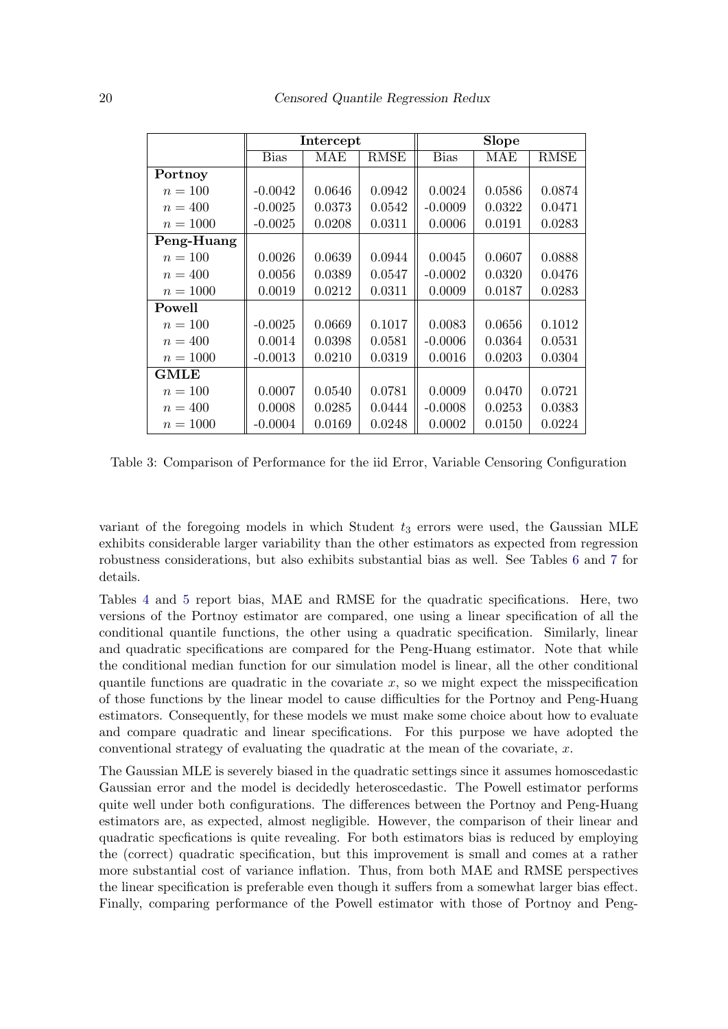|             | Intercept   |        |             | <b>Slope</b> |        |             |
|-------------|-------------|--------|-------------|--------------|--------|-------------|
|             | <b>Bias</b> | MAE    | <b>RMSE</b> | <b>Bias</b>  | MAE    | <b>RMSE</b> |
| Portnoy     |             |        |             |              |        |             |
| $n = 100$   | $-0.0042$   | 0.0646 | 0.0942      | 0.0024       | 0.0586 | 0.0874      |
| $n = 400$   | $-0.0025$   | 0.0373 | 0.0542      | $-0.0009$    | 0.0322 | 0.0471      |
| $n = 1000$  | $-0.0025$   | 0.0208 | 0.0311      | 0.0006       | 0.0191 | 0.0283      |
| Peng-Huang  |             |        |             |              |        |             |
| $n = 100$   | 0.0026      | 0.0639 | 0.0944      | 0.0045       | 0.0607 | 0.0888      |
| $n = 400$   | 0.0056      | 0.0389 | 0.0547      | $-0.0002$    | 0.0320 | 0.0476      |
| $n = 1000$  | 0.0019      | 0.0212 | 0.0311      | 0.0009       | 0.0187 | 0.0283      |
| Powell      |             |        |             |              |        |             |
| $n = 100$   | $-0.0025$   | 0.0669 | 0.1017      | 0.0083       | 0.0656 | 0.1012      |
| $n = 400$   | 0.0014      | 0.0398 | 0.0581      | $-0.0006$    | 0.0364 | 0.0531      |
| $n = 1000$  | $-0.0013$   | 0.0210 | 0.0319      | 0.0016       | 0.0203 | 0.0304      |
| <b>GMLE</b> |             |        |             |              |        |             |
| $n = 100$   | 0.0007      | 0.0540 | 0.0781      | 0.0009       | 0.0470 | 0.0721      |
| $n = 400$   | 0.0008      | 0.0285 | 0.0444      | $-0.0008$    | 0.0253 | 0.0383      |
| $n = 1000$  | $-0.0004$   | 0.0169 | 0.0248      | 0.0002       | 0.0150 | 0.0224      |

<span id="page-19-0"></span>Table 3: Comparison of Performance for the iid Error, Variable Censoring Configuration

variant of the foregoing models in which Student  $t_3$  errors were used, the Gaussian MLE exhibits considerable larger variability than the other estimators as expected from regression robustness considerations, but also exhibits substantial bias as well. See Tables [6](#page-22-0) and [7](#page-22-1) for details.

Tables [4](#page-20-0) and [5](#page-21-0) report bias, MAE and RMSE for the quadratic specifications. Here, two versions of the Portnoy estimator are compared, one using a linear specification of all the conditional quantile functions, the other using a quadratic specification. Similarly, linear and quadratic specifications are compared for the Peng-Huang estimator. Note that while the conditional median function for our simulation model is linear, all the other conditional quantile functions are quadratic in the covariate  $x$ , so we might expect the misspecification of those functions by the linear model to cause difficulties for the Portnoy and Peng-Huang estimators. Consequently, for these models we must make some choice about how to evaluate and compare quadratic and linear specifications. For this purpose we have adopted the conventional strategy of evaluating the quadratic at the mean of the covariate,  $x$ .

The Gaussian MLE is severely biased in the quadratic settings since it assumes homoscedastic Gaussian error and the model is decidedly heteroscedastic. The Powell estimator performs quite well under both configurations. The differences between the Portnoy and Peng-Huang estimators are, as expected, almost negligible. However, the comparison of their linear and quadratic specfications is quite revealing. For both estimators bias is reduced by employing the (correct) quadratic specification, but this improvement is small and comes at a rather more substantial cost of variance inflation. Thus, from both MAE and RMSE perspectives the linear specification is preferable even though it suffers from a somewhat larger bias effect. Finally, comparing performance of the Powell estimator with those of Portnoy and Peng-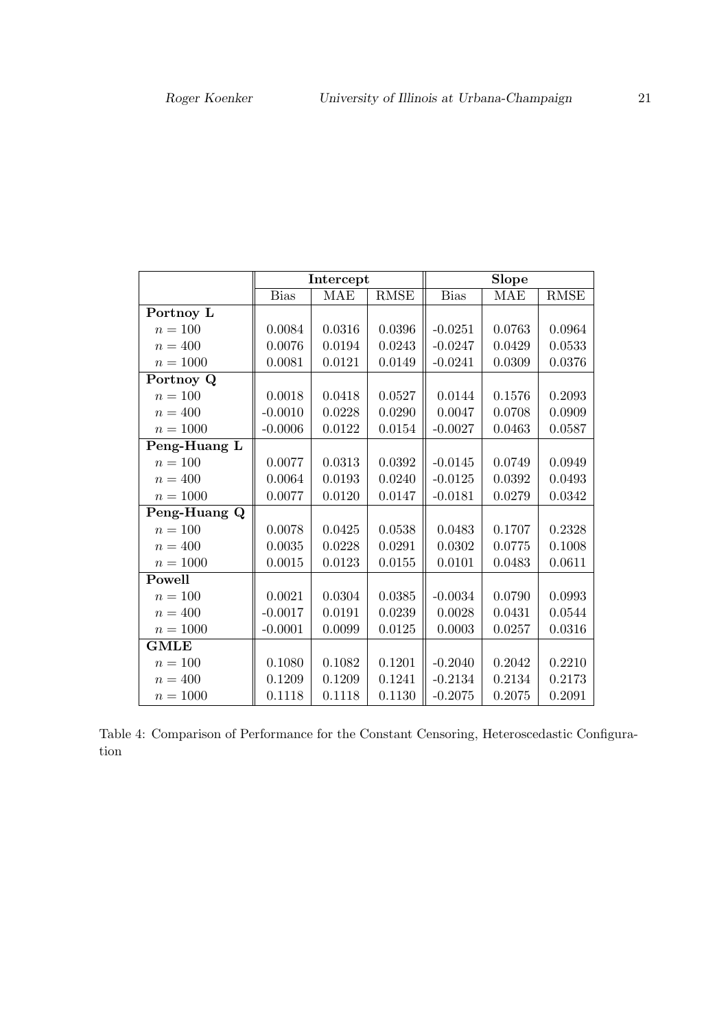|              |             | Intercept  |             | <b>Slope</b> |            |             |  |
|--------------|-------------|------------|-------------|--------------|------------|-------------|--|
|              | <b>Bias</b> | <b>MAE</b> | <b>RMSE</b> | <b>Bias</b>  | <b>MAE</b> | <b>RMSE</b> |  |
| Portnoy L    |             |            |             |              |            |             |  |
| $n = 100$    | 0.0084      | 0.0316     | 0.0396      | $-0.0251$    | 0.0763     | 0.0964      |  |
| $n = 400$    | 0.0076      | 0.0194     | 0.0243      | $-0.0247$    | 0.0429     | 0.0533      |  |
| $n = 1000$   | 0.0081      | 0.0121     | 0.0149      | $-0.0241$    | 0.0309     | 0.0376      |  |
| Portnoy Q    |             |            |             |              |            |             |  |
| $n = 100$    | 0.0018      | 0.0418     | 0.0527      | 0.0144       | 0.1576     | 0.2093      |  |
| $n = 400$    | $-0.0010$   | 0.0228     | 0.0290      | 0.0047       | 0.0708     | 0.0909      |  |
| $n = 1000$   | $-0.0006$   | 0.0122     | 0.0154      | $-0.0027$    | 0.0463     | 0.0587      |  |
| Peng-Huang L |             |            |             |              |            |             |  |
| $n = 100$    | 0.0077      | 0.0313     | 0.0392      | $-0.0145$    | 0.0749     | 0.0949      |  |
| $n = 400$    | 0.0064      | 0.0193     | 0.0240      | $-0.0125$    | 0.0392     | 0.0493      |  |
| $n = 1000$   | 0.0077      | 0.0120     | 0.0147      | $-0.0181$    | 0.0279     | 0.0342      |  |
| Peng-Huang Q |             |            |             |              |            |             |  |
| $n = 100$    | 0.0078      | 0.0425     | 0.0538      | 0.0483       | 0.1707     | 0.2328      |  |
| $n = 400$    | 0.0035      | 0.0228     | 0.0291      | 0.0302       | 0.0775     | 0.1008      |  |
| $n = 1000$   | 0.0015      | 0.0123     | 0.0155      | 0.0101       | 0.0483     | 0.0611      |  |
| Powell       |             |            |             |              |            |             |  |
| $n = 100$    | 0.0021      | 0.0304     | 0.0385      | $-0.0034$    | 0.0790     | 0.0993      |  |
| $n = 400$    | $-0.0017$   | 0.0191     | 0.0239      | 0.0028       | 0.0431     | 0.0544      |  |
| $n = 1000$   | $-0.0001$   | 0.0099     | 0.0125      | 0.0003       | 0.0257     | 0.0316      |  |
| <b>GMLE</b>  |             |            |             |              |            |             |  |
| $n = 100$    | 0.1080      | 0.1082     | 0.1201      | $-0.2040$    | 0.2042     | 0.2210      |  |
| $n = 400$    | 0.1209      | 0.1209     | 0.1241      | $-0.2134$    | 0.2134     | 0.2173      |  |
| $n = 1000$   | 0.1118      | 0.1118     | 0.1130      | $-0.2075$    | 0.2075     | 0.2091      |  |

<span id="page-20-0"></span>Table 4: Comparison of Performance for the Constant Censoring, Heteroscedastic Configuration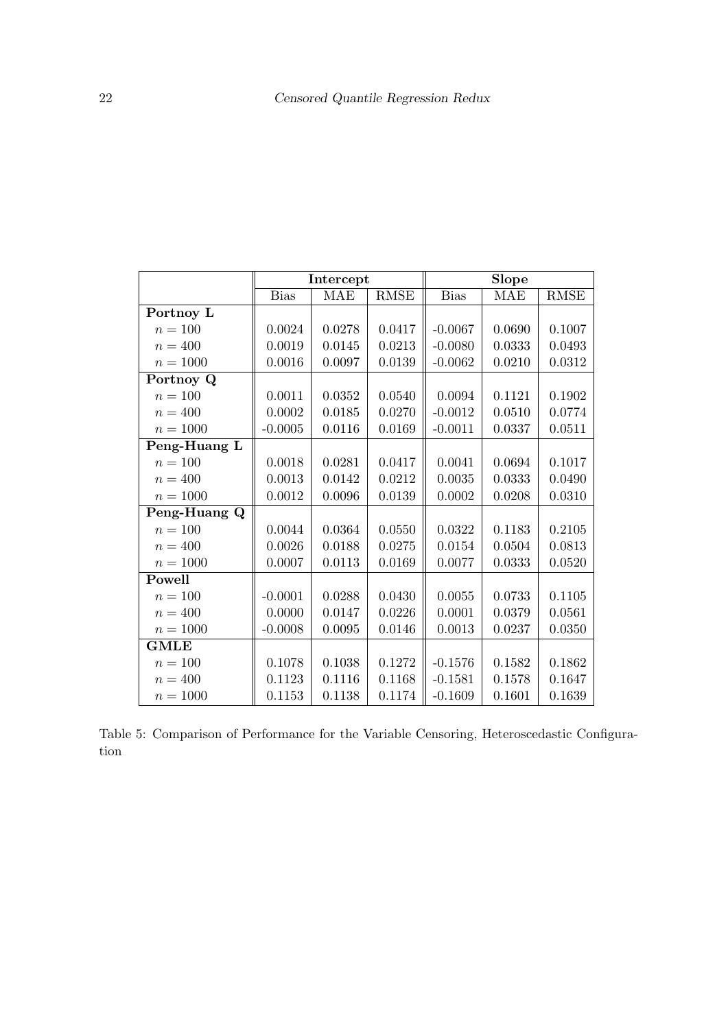|              | Intercept   |            |             | Slope       |            |             |
|--------------|-------------|------------|-------------|-------------|------------|-------------|
|              | <b>Bias</b> | <b>MAE</b> | <b>RMSE</b> | <b>Bias</b> | <b>MAE</b> | <b>RMSE</b> |
| Portnoy L    |             |            |             |             |            |             |
| $n = 100$    | 0.0024      | 0.0278     | 0.0417      | $-0.0067$   | 0.0690     | 0.1007      |
| $n = 400$    | 0.0019      | 0.0145     | 0.0213      | $-0.0080$   | 0.0333     | 0.0493      |
| $n = 1000$   | 0.0016      | 0.0097     | 0.0139      | $-0.0062$   | 0.0210     | 0.0312      |
| Portnoy Q    |             |            |             |             |            |             |
| $n = 100$    | 0.0011      | 0.0352     | 0.0540      | 0.0094      | 0.1121     | 0.1902      |
| $n = 400$    | 0.0002      | 0.0185     | 0.0270      | $-0.0012$   | 0.0510     | 0.0774      |
| $n = 1000$   | $-0.0005$   | 0.0116     | 0.0169      | $-0.0011$   | 0.0337     | 0.0511      |
| Peng-Huang L |             |            |             |             |            |             |
| $n=100\,$    | 0.0018      | 0.0281     | 0.0417      | 0.0041      | 0.0694     | 0.1017      |
| $n = 400$    | 0.0013      | 0.0142     | 0.0212      | 0.0035      | 0.0333     | 0.0490      |
| $n = 1000$   | 0.0012      | 0.0096     | 0.0139      | 0.0002      | 0.0208     | 0.0310      |
| Peng-Huang Q |             |            |             |             |            |             |
| $n = 100$    | 0.0044      | 0.0364     | 0.0550      | 0.0322      | 0.1183     | 0.2105      |
| $n = 400$    | 0.0026      | 0.0188     | 0.0275      | 0.0154      | 0.0504     | 0.0813      |
| $n = 1000$   | 0.0007      | 0.0113     | 0.0169      | 0.0077      | 0.0333     | 0.0520      |
| Powell       |             |            |             |             |            |             |
| $n = 100$    | $-0.0001$   | 0.0288     | 0.0430      | 0.0055      | 0.0733     | 0.1105      |
| $n=400$      | 0.0000      | 0.0147     | 0.0226      | 0.0001      | 0.0379     | 0.0561      |
| $n = 1000$   | $-0.0008$   | 0.0095     | 0.0146      | 0.0013      | 0.0237     | 0.0350      |
| <b>GMLE</b>  |             |            |             |             |            |             |
| $n=100\,$    | 0.1078      | 0.1038     | 0.1272      | $-0.1576$   | 0.1582     | 0.1862      |
| $n = 400$    | 0.1123      | 0.1116     | 0.1168      | $-0.1581$   | 0.1578     | 0.1647      |
| $n = 1000$   | 0.1153      | 0.1138     | 0.1174      | $-0.1609$   | 0.1601     | 0.1639      |

<span id="page-21-0"></span>Table 5: Comparison of Performance for the Variable Censoring, Heteroscedastic Configuration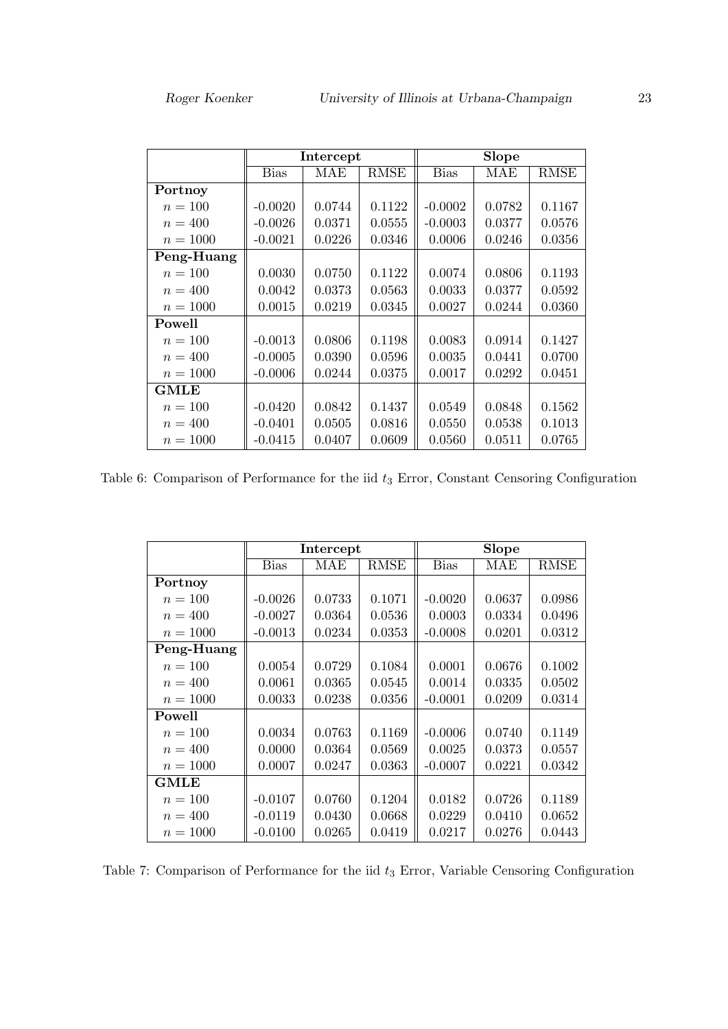|             | Intercept |        |             | <b>Slope</b> |        |             |
|-------------|-----------|--------|-------------|--------------|--------|-------------|
|             | Bias      | MAE    | <b>RMSE</b> | <b>Bias</b>  | MAE    | <b>RMSE</b> |
| Portnoy     |           |        |             |              |        |             |
| $n = 100$   | $-0.0020$ | 0.0744 | 0.1122      | $-0.0002$    | 0.0782 | 0.1167      |
| $n = 400$   | $-0.0026$ | 0.0371 | 0.0555      | $-0.0003$    | 0.0377 | 0.0576      |
| $n = 1000$  | $-0.0021$ | 0.0226 | 0.0346      | 0.0006       | 0.0246 | 0.0356      |
| Peng-Huang  |           |        |             |              |        |             |
| $n = 100$   | 0.0030    | 0.0750 | 0.1122      | 0.0074       | 0.0806 | 0.1193      |
| $n = 400$   | 0.0042    | 0.0373 | 0.0563      | 0.0033       | 0.0377 | 0.0592      |
| $n = 1000$  | 0.0015    | 0.0219 | 0.0345      | 0.0027       | 0.0244 | 0.0360      |
| Powell      |           |        |             |              |        |             |
| $n = 100$   | $-0.0013$ | 0.0806 | 0.1198      | 0.0083       | 0.0914 | 0.1427      |
| $n = 400$   | $-0.0005$ | 0.0390 | 0.0596      | 0.0035       | 0.0441 | 0.0700      |
| $n = 1000$  | $-0.0006$ | 0.0244 | 0.0375      | 0.0017       | 0.0292 | 0.0451      |
| <b>GMLE</b> |           |        |             |              |        |             |
| $n = 100$   | $-0.0420$ | 0.0842 | 0.1437      | 0.0549       | 0.0848 | 0.1562      |
| $n = 400$   | $-0.0401$ | 0.0505 | 0.0816      | 0.0550       | 0.0538 | 0.1013      |
| $n = 1000$  | $-0.0415$ | 0.0407 | 0.0609      | 0.0560       | 0.0511 | 0.0765      |

<span id="page-22-0"></span>Table 6: Comparison of Performance for the iid  $t_3$  Error, Constant Censoring Configuration

|             | Intercept   |        |             | <b>Slope</b> |        |             |
|-------------|-------------|--------|-------------|--------------|--------|-------------|
|             | <b>Bias</b> | MAE    | <b>RMSE</b> | <b>Bias</b>  | MAE    | <b>RMSE</b> |
| Portnoy     |             |        |             |              |        |             |
| $n = 100$   | $-0.0026$   | 0.0733 | 0.1071      | $-0.0020$    | 0.0637 | 0.0986      |
| $n = 400$   | $-0.0027$   | 0.0364 | 0.0536      | 0.0003       | 0.0334 | 0.0496      |
| $n = 1000$  | $-0.0013$   | 0.0234 | 0.0353      | $-0.0008$    | 0.0201 | 0.0312      |
| Peng-Huang  |             |        |             |              |        |             |
| $n = 100$   | 0.0054      | 0.0729 | 0.1084      | 0.0001       | 0.0676 | 0.1002      |
| $n = 400$   | 0.0061      | 0.0365 | 0.0545      | 0.0014       | 0.0335 | 0.0502      |
| $n = 1000$  | 0.0033      | 0.0238 | 0.0356      | $-0.0001$    | 0.0209 | 0.0314      |
| Powell      |             |        |             |              |        |             |
| $n = 100$   | 0.0034      | 0.0763 | 0.1169      | $-0.0006$    | 0.0740 | 0.1149      |
| $n = 400$   | 0.0000      | 0.0364 | 0.0569      | 0.0025       | 0.0373 | 0.0557      |
| $n = 1000$  | 0.0007      | 0.0247 | 0.0363      | $-0.0007$    | 0.0221 | 0.0342      |
| <b>GMLE</b> |             |        |             |              |        |             |
| $n = 100$   | $-0.0107$   | 0.0760 | 0.1204      | 0.0182       | 0.0726 | 0.1189      |
| $n = 400$   | $-0.0119$   | 0.0430 | 0.0668      | 0.0229       | 0.0410 | 0.0652      |
| $n = 1000$  | $-0.0100$   | 0.0265 | 0.0419      | 0.0217       | 0.0276 | 0.0443      |

<span id="page-22-1"></span>Table 7: Comparison of Performance for the iid  $t_3$  Error, Variable Censoring Configuration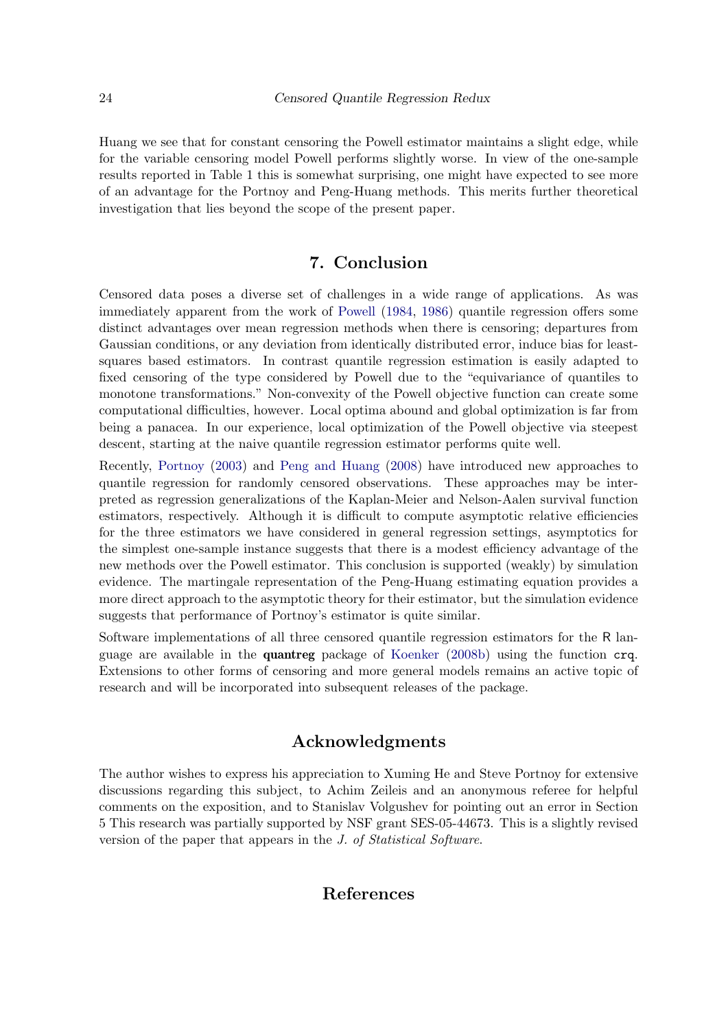Huang we see that for constant censoring the Powell estimator maintains a slight edge, while for the variable censoring model Powell performs slightly worse. In view of the one-sample results reported in Table 1 this is somewhat surprising, one might have expected to see more of an advantage for the Portnoy and Peng-Huang methods. This merits further theoretical investigation that lies beyond the scope of the present paper.

# 7. Conclusion

Censored data poses a diverse set of challenges in a wide range of applications. As was immediately apparent from the work of [Powell](#page-25-3) [\(1984,](#page-25-3) [1986\)](#page-25-0) quantile regression offers some distinct advantages over mean regression methods when there is censoring; departures from Gaussian conditions, or any deviation from identically distributed error, induce bias for leastsquares based estimators. In contrast quantile regression estimation is easily adapted to fixed censoring of the type considered by Powell due to the "equivariance of quantiles to monotone transformations." Non-convexity of the Powell objective function can create some computational difficulties, however. Local optima abound and global optimization is far from being a panacea. In our experience, local optimization of the Powell objective via steepest descent, starting at the naive quantile regression estimator performs quite well.

Recently, [Portnoy](#page-25-1) [\(2003\)](#page-25-1) and [Peng and Huang](#page-25-2) [\(2008\)](#page-25-2) have introduced new approaches to quantile regression for randomly censored observations. These approaches may be interpreted as regression generalizations of the Kaplan-Meier and Nelson-Aalen survival function estimators, respectively. Although it is difficult to compute asymptotic relative efficiencies for the three estimators we have considered in general regression settings, asymptotics for the simplest one-sample instance suggests that there is a modest efficiency advantage of the new methods over the Powell estimator. This conclusion is supported (weakly) by simulation evidence. The martingale representation of the Peng-Huang estimating equation provides a more direct approach to the asymptotic theory for their estimator, but the simulation evidence suggests that performance of Portnoy's estimator is quite similar.

Software implementations of all three censored quantile regression estimators for the R language are available in the quantreg package of [Koenker](#page-24-5) [\(2008b\)](#page-24-5) using the function crq. Extensions to other forms of censoring and more general models remains an active topic of research and will be incorporated into subsequent releases of the package.

# Acknowledgments

The author wishes to express his appreciation to Xuming He and Steve Portnoy for extensive discussions regarding this subject, to Achim Zeileis and an anonymous referee for helpful comments on the exposition, and to Stanislav Volgushev for pointing out an error in Section 5 This research was partially supported by NSF grant SES-05-44673. This is a slightly revised version of the paper that appears in the J. of Statistical Software.

# References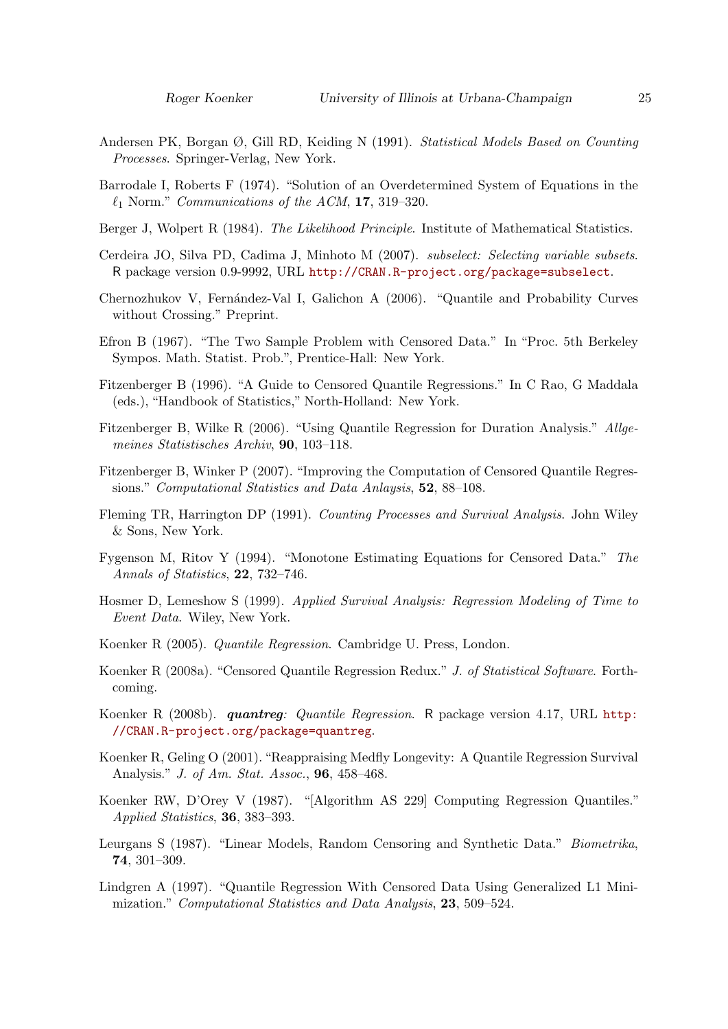- <span id="page-24-10"></span>Andersen PK, Borgan Ø, Gill RD, Keiding N (1991). Statistical Models Based on Counting Processes. Springer-Verlag, New York.
- <span id="page-24-7"></span>Barrodale I, Roberts F (1974). "Solution of an Overdetermined System of Equations in the  $\ell_1$  Norm." Communications of the ACM, 17, 319–320.
- <span id="page-24-17"></span>Berger J, Wolpert R (1984). The Likelihood Principle. Institute of Mathematical Statistics.
- <span id="page-24-9"></span>Cerdeira JO, Silva PD, Cadima J, Minhoto M (2007). subselect: Selecting variable subsets. R package version 0.9-9992, URL <http://CRAN.R-project.org/package=subselect>.
- <span id="page-24-14"></span>Chernozhukov V, Fernández-Val I, Galichon A (2006). "Quantile and Probability Curves without Crossing." Preprint.
- <span id="page-24-11"></span>Efron B (1967). "The Two Sample Problem with Censored Data." In "Proc. 5th Berkeley Sympos. Math. Statist. Prob.", Prentice-Hall: New York.
- <span id="page-24-6"></span>Fitzenberger B (1996). "A Guide to Censored Quantile Regressions." In C Rao, G Maddala (eds.), "Handbook of Statistics," North-Holland: New York.
- <span id="page-24-2"></span>Fitzenberger B, Wilke R (2006). "Using Quantile Regression for Duration Analysis." Allgemeines Statistisches Archiv, 90, 103–118.
- <span id="page-24-8"></span>Fitzenberger B, Winker P (2007). "Improving the Computation of Censored Quantile Regressions." Computational Statistics and Data Anlaysis, 52, 88–108.
- <span id="page-24-15"></span>Fleming TR, Harrington DP (1991). Counting Processes and Survival Analysis. John Wiley & Sons, New York.
- <span id="page-24-16"></span>Fygenson M, Ritov Y (1994). "Monotone Estimating Equations for Censored Data." The Annals of Statistics, 22, 732–746.
- <span id="page-24-13"></span>Hosmer D, Lemeshow S (1999). Applied Survival Analysis: Regression Modeling of Time to Event Data. Wiley, New York.
- <span id="page-24-4"></span>Koenker R (2005). Quantile Regression. Cambridge U. Press, London.
- <span id="page-24-0"></span>Koenker R (2008a). "Censored Quantile Regression Redux." J. of Statistical Software. Forthcoming.
- <span id="page-24-5"></span>Koenker R (2008b). quantreg: Quantile Regression. R package version 4.17, URL [http:](http://CRAN.R-project.org/package=quantreg) [//CRAN.R-project.org/package=quantreg](http://CRAN.R-project.org/package=quantreg).
- <span id="page-24-1"></span>Koenker R, Geling O (2001). "Reappraising Medfly Longevity: A Quantile Regression Survival Analysis." J. of Am. Stat. Assoc., 96, 458–468.
- <span id="page-24-12"></span>Koenker RW, D'Orey V (1987). "[Algorithm AS 229] Computing Regression Quantiles." Applied Statistics, 36, 383–393.
- <span id="page-24-18"></span>Leurgans S (1987). "Linear Models, Random Censoring and Synthetic Data." Biometrika, 74, 301–309.
- <span id="page-24-3"></span>Lindgren A (1997). "Quantile Regression With Censored Data Using Generalized L1 Minimization." Computational Statistics and Data Analysis, 23, 509–524.